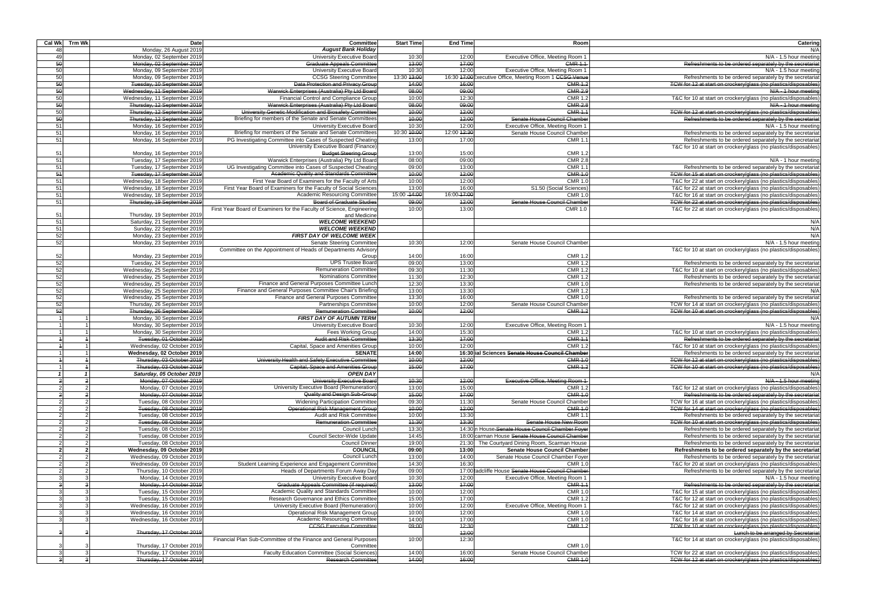| Catering<br>N/A                                                                                                                    | Room                                                                 | <b>End Time</b> | <b>Start Time</b> | <b>Committee</b><br><b>August Bank Holiday</b>                                                          | <b>Date</b><br>Monday, 26 August 2019                       | Cal Wk Trm Wk |                |
|------------------------------------------------------------------------------------------------------------------------------------|----------------------------------------------------------------------|-----------------|-------------------|---------------------------------------------------------------------------------------------------------|-------------------------------------------------------------|---------------|----------------|
| N/A - 1.5 hour meeting                                                                                                             | Executive Office, Meeting Room 1                                     | 12:00           | 10:30             | University Executive Board                                                                              | Monday, 02 September 2019                                   |               | 48<br>49       |
| Refreshments to be ordered separately by the secretariat                                                                           | <b>CMR 1.1</b>                                                       | 47:00           | 13:00             | <b>Graduate Appeals Committee</b>                                                                       | Monday, 02 September 2019                                   |               | 50             |
| N/A - 1.5 hour meeting                                                                                                             | Executive Office, Meeting Room 1                                     | 12:00           | 10:30             | University Executive Board                                                                              | Monday, 09 September 2019                                   |               | 50             |
| Refreshments to be ordered separately by the secretariat                                                                           | 16:30 47:00 Executive Office, Meeting Room 1 CCSG Venue              |                 | 13:30 13:00       | <b>CCSG Steering Committee</b>                                                                          | Monday, 09 September 2019                                   |               | 50             |
| TCW for 12 at start on crockery/glass (no plastics/disposables)                                                                    | <b>CMR 1.2</b>                                                       | 16:00           | 14:00             | Data Protection and Privacy Group                                                                       | Tuesday, 10 September 2019                                  |               | 50             |
| N/A - 1 hour meeting                                                                                                               | <b>CMR 2.9</b>                                                       | 09:00           | 08:00             | Warwick Enterprises (Australia) Pty Ltd Board                                                           | Wednesday, 11 September 2019                                |               | 50             |
| T&C for 10 at start on crockery/glass (no plastics/disposables)<br>N/A - 1 hour meeting                                            | <b>CMR 1.2</b><br><b>CMR 2.8</b>                                     | 12:30<br>09:00  | 10:00<br>08:00    | Financial Control and Compliance Group<br>Warwick Enterprises (Australia) Pty Ltd Board                 | Wednesday, 11 September 2019<br>Thursday, 12 September 2019 |               | 50<br>50       |
| TCW for 12 at start on crockery/glass (no plastics/disposables)                                                                    | <b>CMR 1.1</b>                                                       | 12:00           | 10:00             | University Genetic Modification and Biosafety Committee                                                 | Thursday, 12 September 2019                                 |               | 50             |
| Refreshments to be ordered separately by the secretariat                                                                           | Senate House Council Chamber                                         | 12:00           | 40:00             | Briefing for members of the Senate and Senate Committees                                                | Thursday, 12 September 2019                                 |               | 50             |
| N/A - 1.5 hour meeting                                                                                                             | Executive Office, Meeting Room 1                                     | 12:00           | 10:30             | University Executive Board                                                                              | Monday, 16 September 2019                                   |               | 51             |
| Refreshments to be ordered separately by the secretariat                                                                           | Senate House Council Chamber                                         | 12:00 12:30     | 10:30 10:00       | Briefing for members of the Senate and Senate Committees                                                | Monday, 16 September 2019                                   |               | 51             |
| Refreshments to be ordered separately by the secretariat                                                                           | CMR 1.                                                               | 17:00           | 13:00             | PG Investigating Committee into Cases of Suspected Cheating                                             | Monday, 16 September 2019                                   |               | 51             |
| T&C for 10 at start on crockery/glass (no plastics/disposables)                                                                    |                                                                      |                 |                   | University Executive Board (Finance)                                                                    |                                                             |               |                |
|                                                                                                                                    | <b>CMR 1.2</b>                                                       | 15:00           | 13:00             | <b>Budget Steering Group</b>                                                                            | Monday, 16 September 2019                                   |               | 51             |
| N/A - 1 hour meeting                                                                                                               | <b>CMR 2.8</b>                                                       | 09:00           | 08:00             | Warwick Enterprises (Australia) Pty Ltd Board                                                           | Tuesday, 17 September 2019                                  |               | 51             |
| Refreshments to be ordered separately by the secretariat<br>TCW for 15 at start on crockery/glass (no plastics/disposables)        | CMR 1.<br><b>CMR 1.0</b>                                             | 13:00<br>12:00  | 09:00<br>10:00    | UG Investigating Committee into Cases of Suspected Cheating<br>Academic Quality and Standards Committee | Tuesday, 17 September 2019<br>Tuesday, 17 September 2019    |               | 51<br>54       |
| T&C for 22 at start on crockery/glass (no plastics/disposables)                                                                    | <b>CMR 1.0</b>                                                       | 12:00           | 10:00             | First Year Board of Examiners for the Faculty of Arts                                                   | Wednesday, 18 September 2019                                |               | 51             |
| T&C for 22 at start on crockery/glass (no plastics/disposables)                                                                    | S1.50 (Social Sciences)                                              | 16:00           | 13:00             | First Year Board of Examiners for the Faculty of Social Sciences                                        | Wednesday, 18 September 2019                                |               | 51             |
| T&C for 16 at start on crockery/glass (no plastics/disposables)                                                                    | <b>CMR 1.0</b>                                                       | 16:00-17:00     | 15:00 - 14:00     | <b>Academic Resourcing Committee</b>                                                                    | Wednesday, 18 September 2019                                |               | 51             |
| TCW for 22 at start on crockery/glass (no plastics/disposables)                                                                    | Senate House Council Chamber                                         | 12:00           | 09:00             | <b>Board of Graduate Studies</b>                                                                        | Thursday, 19 September 2019                                 |               | 51             |
| T&C for 22 at start on crockery/glass (no plastics/disposables)                                                                    | <b>CMR 1.0</b>                                                       | 13:00           | 10:00             | First Year Board of Examiners for the Faculty of Science, Engineering                                   |                                                             |               |                |
|                                                                                                                                    |                                                                      |                 |                   | and Medicine                                                                                            | Thursday, 19 September 2019                                 |               | 51             |
| N/A                                                                                                                                |                                                                      |                 |                   | <b>WELCOME WEEKEND</b>                                                                                  | Saturday, 21 September 2019                                 |               | 51             |
| N/A<br>N/A                                                                                                                         |                                                                      |                 |                   | <b>WELCOME WEEKEND</b><br><b>FIRST DAY OF WELCOME WEEK</b>                                              | Sunday, 22 September 2019<br>Monday, 23 September 2019      |               | 51<br>52       |
| N/A - 1.5 hour meeting                                                                                                             | Senate House Council Chamber                                         | 12:00           | 10:30             | <b>Senate Steering Committee</b>                                                                        | Monday, 23 September 2019                                   |               | 52             |
| T&C for 10 at start on crockery/glass (no plastics/disposables)                                                                    |                                                                      |                 |                   | Committee on the Appointment of Heads of Departments Advisory                                           |                                                             |               |                |
|                                                                                                                                    | <b>CMR 1.2</b>                                                       | 16:00           | 14:00             | Group                                                                                                   | Monday, 23 September 2019                                   |               | 52             |
| Refreshments to be ordered separately by the secretariat                                                                           | <b>CMR 1.2</b>                                                       | 13:00           | 09:00             | <b>UPS Trustee Board</b>                                                                                | Tuesday, 24 September 2019                                  |               | 52             |
| T&C for 10 at start on crockery/glass (no plastics/disposables)                                                                    | <b>CMR 1.2</b>                                                       | 11:30           | 09:30             | <b>Remuneration Committee</b>                                                                           | Wednesday, 25 September 2019                                |               | 52             |
| Refreshments to be ordered separately by the secretariat                                                                           | <b>CMR 1.2</b>                                                       | 12:30           | 11:30             | Nominations Committee                                                                                   | Wednesday, 25 September 2019                                |               | 52             |
| Refreshments to be ordered separately by the secretariat                                                                           | <b>CMR 1.0</b>                                                       | 13:30           | 12:30             | Finance and General Purposes Committee Lunch                                                            | Wednesday, 25 September 2019                                |               | 52             |
| N/A                                                                                                                                | <b>CMR 1.2</b>                                                       | 13:30           | 13:00             | Finance and General Purposes Committee Chair's Briefing                                                 | Wednesday, 25 September 2019                                |               | 52             |
| Refreshments to be ordered separately by the secretariat                                                                           | <b>CMR 1.0</b>                                                       | 16:00           | 13:30             | Finance and General Purposes Committee                                                                  | Wednesday, 25 September 2019                                |               | 52             |
| TCW for 14 at start on crockery/glass (no plastics/disposables)<br>TCW for 10 at start on crockery/glass (no plastics/disposables) | Senate House Council Chamber<br><b>CMR 1.2</b>                       | 12:00<br>12:00  | 10:00<br>10:00    | <b>Partnerships Committee</b><br><b>Remuneration Committee</b>                                          | Thursday, 26 September 2019<br>Thursday, 26 September 2019  |               | 52<br>52       |
| N/A                                                                                                                                |                                                                      |                 |                   | <b>FIRST DAY OF AUTUMN TERM</b>                                                                         | Monday, 30 September 2019                                   |               |                |
| N/A - 1.5 hour meeting                                                                                                             | Executive Office, Meeting Room 1                                     | 12:00           | 10:30             | University Executive Board                                                                              | Monday, 30 September 2019                                   |               |                |
| T&C for 10 at start on crockery/glass (no plastics/disposables)                                                                    | <b>CMR 1.2</b>                                                       | 15:30           | 14:00             | Fees Working Group                                                                                      | Monday, 30 September 2019                                   |               |                |
| Refreshments to be ordered separately by the secretariat                                                                           | <b>CMR 1.1</b>                                                       | 17:00           | 13:30             | Audit and Risk Committee                                                                                | Tuesday, 01 October 2019                                    |               |                |
| T&C for 10 at start on crockery/glass (no plastics/disposables)                                                                    | <b>CMR 1.2</b>                                                       | 12:00           | 10:00             | Capital, Space and Amenities Group                                                                      | Wednesday, 02 October 2019                                  |               |                |
| Refreshments to be ordered separately by the secretariat                                                                           | 16:30 ial Sciences Senate House Council Chamber                      |                 | 14:00             | <b>SENATE</b>                                                                                           | Wednesday, 02 October 2019                                  |               |                |
| TCW for 12 at start on crockery/glass (no plastics/disposables)                                                                    | <b>CMR 1.0</b>                                                       | 42:00           | 40:00             | University Health and Safety Executive Committee                                                        | Thursday, 03 October 2019                                   |               |                |
| TCW for 10 at start on crockery/glass (no plastics/disposables)                                                                    | <b>CMR 1.2</b>                                                       | 47:00           | 45:00             | Capital, Space and Amenities Group                                                                      | Thursday, 03 October 2019                                   |               |                |
| N/A                                                                                                                                |                                                                      |                 |                   | <b>OPEN DAY</b>                                                                                         | Saturday, 05 October 2019                                   |               |                |
| $N/A - 1.5$ hour meeting                                                                                                           | Executive Office, Meeting Room 1                                     | 42:00           | 10:30             | University Executive Board                                                                              | Monday, 07 October 2019                                     |               | $\overline{2}$ |
| T&C for 12 at start on crockery/glass (no plastics/disposables)<br>Refreshments to be ordered separately by the secretariat        | <b>CMR 1.2</b><br><b>CMR 1.0</b>                                     | 15:00<br>47:00  | 13:00<br>15:00    | University Executive Board (Remuneration)<br>Quality and Design Sub-Group                               | Monday, 07 October 2019<br>Monday, 07 October 2019          |               | $\overline{2}$ |
| TCW for 16 at start on crockery/glass (no plastics/disposables)                                                                    | Senate House Council Chamber                                         | 11:30           | 09:30             | <b>Widening Participation Committee</b>                                                                 | Tuesday, 08 October 2019                                    |               |                |
| TCW for 14 at start on crockery/glass (no plastics/disposables)                                                                    | <b>CMR 1.0</b>                                                       | 42:00           | 40:00             | Operational Risk Management Group                                                                       | Tuesday, 08 October 2019                                    |               |                |
| Refreshments to be ordered separately by the secretariat                                                                           | CMR $1.7$                                                            | 13:30           | 10:00             | Audit and Risk Committee                                                                                | Tuesday, 08 October 2019                                    |               |                |
| TCW for 10 at start on crockery/glass (no plastics/disposables)                                                                    | Senate House New Room                                                | 43:30           | 44:30             | <b>Remuneration Committee</b>                                                                           | Tuesday, 08 October 2019                                    |               | $\mathcal{P}$  |
| Refreshments to be ordered separately by the secretariat                                                                           | 14:30 In House Senate House Council Chamber Foyer                    |                 | 13:30             | Council Lunch                                                                                           | Tuesday, 08 October 2019                                    |               |                |
| Refreshments to be ordered separately by the secretariat                                                                           | 18:00 carman House Senate House Council Chamber                      |                 | 14:45             | Council Sector-Wide Update                                                                              | Tuesday, 08 October 2019                                    |               |                |
| Refreshments to be ordered separately by the secretariat                                                                           | 21:30 The Courtyard Dining Room, Scarman House                       |                 | 19:00             | <b>Council Dinner</b>                                                                                   | Tuesday, 08 October 2019                                    |               | $\mathcal{P}$  |
| Refreshments to be ordered separately by the secretariat                                                                           | Senate House Council Chamber                                         | 13:00           | 09:00             | <b>COUNCIL</b>                                                                                          | Wednesday, 09 October 2019                                  |               |                |
| Refreshments to be ordered separately by the secretariat                                                                           | Senate House Council Chamber Foyer                                   | 14:00           | 13:00             | Council Lunch                                                                                           | Wednesday, 09 October 2019                                  |               |                |
| T&C for 20 at start on crockery/glass (no plastics/disposables)<br>Refreshments to be ordered separately by the secretariat        | <b>CMR 1.0</b><br>17:00 tadcliffe House Senate House Council Chamber | 16:30           | 14:30<br>09:00    | Student Learning Experience and Engagement Committee<br>Heads of Departments Forum Away Day             | Wednesday, 09 October 2019<br>Thursday, 10 October 2019     |               | $\mathcal{P}$  |
| $N/A - 1.5$ hour meeting                                                                                                           | Executive Office, Meeting Room 1                                     | 12:00           | 10:30             | University Executive Board                                                                              | Monday, 14 October 2019                                     |               | -3             |
| Refreshments to be ordered separately by the secretarial                                                                           | <b>CMR 1.</b>                                                        | 47:00           | 43:00             | Graduate Appeals Committee (if required)                                                                | Monday, 14 October 2019                                     |               |                |
| T&C for 15 at start on crockery/glass (no plastics/disposables)                                                                    | <b>CMR 1.0</b>                                                       | 12:00           | 10:00             | Academic Quality and Standards Committee                                                                | Tuesday, 15 October 2019                                    |               |                |
| T&C for 12 at start on crockery/glass (no plastics/disposables)                                                                    | <b>CMR 1.2</b>                                                       | 17:00           | 15:00             | Research Governance and Ethics Committee                                                                | Tuesday, 15 October 2019                                    |               |                |
| T&C for 12 at start on crockery/glass (no plastics/disposables)                                                                    | Executive Office, Meeting Room 1                                     | 12:00           | 10:00             | University Executive Board (Remuneration)                                                               | Wednesday, 16 October 2019                                  |               |                |
| T&C for 14 at start on crockery/glass (no plastics/disposables)                                                                    | <b>CMR 1.0</b>                                                       | 12:00           | 10:00             | <b>Operational Risk Management Group</b>                                                                | Wednesday, 16 October 2019                                  |               |                |
| T&C for 16 at start on crockery/glass (no plastics/disposables)                                                                    | <b>CMR 1.0</b>                                                       | 17:00           | 14:00             | Academic Resourcing Committee                                                                           | Wednesday, 16 October 2019                                  |               |                |
| TCW for 10 at start on crockery/glass (no plastics/disposables)                                                                    | <b>CMR 1.2</b>                                                       | 42:30           | 09:00             | <b>CCSG Executive Committee</b>                                                                         |                                                             |               |                |
| Lunch to be arranged by Secretariat                                                                                                |                                                                      | 42:00<br>12:30  |                   | Financial Plan Sub-Committee of the Finance and General Purposes                                        | Thursday, 17 October 2019                                   |               |                |
| T&C for 14 at start on crockery/glass (no plastics/disposables)                                                                    | <b>CMR 1.0</b>                                                       |                 | 10:00             | Committee                                                                                               | Thursday, 17 October 2019                                   |               |                |
| TCW for 22 at start on crockery/glass (no plastics/disposables)                                                                    | Senate House Council Chamber                                         | 16:00           | 14:00             | <b>Faculty Education Committee (Social Sciences)</b>                                                    | Thursday, 17 October 2019                                   |               | 3              |
| TCW for 12 at start on crockery/glass (no plastics/disposables)                                                                    | <b>CMR 1.0</b>                                                       | 46:00           | 14:00             | <b>Research Committee</b>                                                                               | Thursday, 17 October 2019                                   |               |                |
|                                                                                                                                    |                                                                      |                 |                   |                                                                                                         |                                                             |               |                |

| Room               | Catering                                                                                                                           |
|--------------------|------------------------------------------------------------------------------------------------------------------------------------|
| Room 1             | N/A<br>N/A - 1.5 hour meeting                                                                                                      |
| SMR 1.1            | Refreshments to be ordered separately by the secretariat                                                                           |
| Room 1             | N/A - 1.5 hour meeting                                                                                                             |
| G Venue            | Refreshments to be ordered separately by the secretariat                                                                           |
| CMR 1.2            | TCW for 12 at start on crockery/glass (no plastics/disposables)                                                                    |
| <b>CMR 2.9</b>     | N/A - 1 hour meeting                                                                                                               |
| CMR 1.2            | T&C for 10 at start on crockery/glass (no plastics/disposables)                                                                    |
| CMR 2.8            | N/A - 1 hour meeting                                                                                                               |
| CMR 1.1            | TCW for 12 at start on crockery/glass (no plastics/disposables)                                                                    |
| <b>Chamber</b>     | Refreshments to be ordered separately by the secretariat                                                                           |
| Room 1             | N/A - 1.5 hour meeting                                                                                                             |
| Chamber            | Refreshments to be ordered separately by the secretariat                                                                           |
| CMR 1.1            | Refreshments to be ordered separately by the secretariat                                                                           |
|                    | T&C for 10 at start on crockery/glass (no plastics/disposables)                                                                    |
| CMR 1.2            |                                                                                                                                    |
| <b>CMR 2.8</b>     | N/A - 1 hour meeting                                                                                                               |
| CMR 1.1            | Refreshments to be ordered separately by the secretariat                                                                           |
| CMR 1.0            | TCW for 15 at start on crockery/glass (no plastics/disposables)                                                                    |
| CMR 1.0            | T&C for 22 at start on crockery/glass (no plastics/disposables)                                                                    |
| ìciences)          | T&C for 22 at start on crockery/glass (no plastics/disposables)                                                                    |
| CMR 1.0<br>Chamber | T&C for 16 at start on crockery/glass (no plastics/disposables)<br>TCW for 22 at start on crockery/glass (no plastics/disposables) |
| CMR 1.0            | T&C for 22 at start on crockery/glass (no plastics/disposables)                                                                    |
|                    |                                                                                                                                    |
|                    | N/A                                                                                                                                |
|                    | N/A                                                                                                                                |
|                    | N/A                                                                                                                                |
| Chamber            | N/A - 1.5 hour meeting                                                                                                             |
|                    | T&C for 10 at start on crockery/glass (no plastics/disposables)                                                                    |
| CMR 1.2            |                                                                                                                                    |
| CMR 1.2            | Refreshments to be ordered separately by the secretariat                                                                           |
| CMR 1.2            | T&C for 10 at start on crockery/glass (no plastics/disposables)                                                                    |
| CMR 1.2            | Refreshments to be ordered separately by the secretariat                                                                           |
| CMR 1.0            | Refreshments to be ordered separately by the secretariat                                                                           |
| CMR 1.2            | N/A                                                                                                                                |
| CMR 1.0            | Refreshments to be ordered separately by the secretariat                                                                           |
| Chamber            | TCW for 14 at start on crockery/glass (no plastics/disposables)                                                                    |
| CMR 1.2            | TCW for 10 at start on crockery/glass (no plastics/disposables)                                                                    |
| Room 1             | N/A<br>N/A - 1.5 hour meeting                                                                                                      |
| CMR 1.2            | T&C for 10 at start on crockery/glass (no plastics/disposables)                                                                    |
| CMR 1.1            | Refreshments to be ordered separately by the secretariat                                                                           |
| CMR 1.2            | T&C for 10 at start on crockery/glass (no plastics/disposables)                                                                    |
| <u>:hamber</u>     | Refreshments to be ordered separately by the secretariat                                                                           |
| <b>CMR 1.0</b>     | TCW for 12 at start on crockery/glass (no plastics/disposables)                                                                    |
| CMR 1.2            | TCW for 10 at start on crockery/glass (no plastics/disposables)                                                                    |
|                    | N/A                                                                                                                                |
| Room 1             | $N/A - 1.5$ hour meeting                                                                                                           |
| CMR 1.2            | T&C for 12 at start on crockery/glass (no plastics/disposables)                                                                    |
| CMR 1.0            | Refreshments to be ordered separately by the secretariat                                                                           |
| Chamber            | TCW for 16 at start on crockery/glass (no plastics/disposables)                                                                    |
| CMR 1.0            | TCW for 14 at start on crockery/glass (no plastics/disposables)                                                                    |
| CMR 1.1            | Refreshments to be ordered separately by the secretariat                                                                           |
| <del>ew Room</del> | TCW for 10 at start on crockery/glass (no plastics/disposables)                                                                    |
| er Foyer           | Refreshments to be ordered separately by the secretariat                                                                           |
| Shamber            | Refreshments to be ordered separately by the secretariat                                                                           |
| n House            | Refreshments to be ordered separately by the secretariat                                                                           |
| <b>Chamber</b>     | Refreshments to be ordered separately by the secretariat                                                                           |
| er Foyer           | Refreshments to be ordered separately by the secretariat                                                                           |
| CMR 1.0            | T&C for 20 at start on crockery/glass (no plastics/disposables)                                                                    |
| <u>Chamber</u>     | Refreshments to be ordered separately by the secretariat                                                                           |
| Room 1             | N/A - 1.5 hour meeting                                                                                                             |
| <del>CMR 1.1</del> | Refreshments to be ordered separately by the secretariat                                                                           |
| CMR 1.0            | T&C for 15 at start on crockery/glass (no plastics/disposables)                                                                    |
| CMR 1.2            | T&C for 12 at start on crockery/glass (no plastics/disposables)<br>T&C for 12 at start on crockery/glass (no plastics/disposables) |
| Room 1             |                                                                                                                                    |
| CMR 1.0<br>CMR 1.0 | T&C for 14 at start on crockery/glass (no plastics/disposables)<br>T&C for 16 at start on crockery/glass (no plastics/disposables) |
| CMR 1.2            | TCW for 10 at start on crockery/glass (no plastics/disposables)                                                                    |
|                    | Lunch to be arranged by Secretariat                                                                                                |
|                    | T&C for 14 at start on crockery/glass (no plastics/disposables)                                                                    |
| CMR 1.0            |                                                                                                                                    |
| Chamber            | TCW for 22 at start on crockery/glass (no plastics/disposables)                                                                    |
| CMR 1.0            | TCW for 12 at start on crockerv/glass (no plastics/disposables)                                                                    |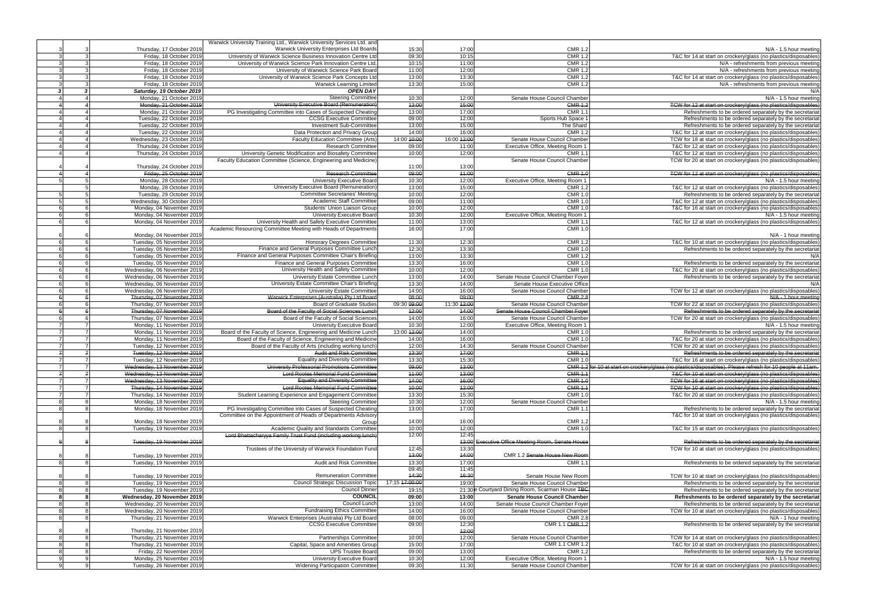|                |                             | Warwick University Training Ltd., Warwick University Services Ltd. and<br>Warwick University Enterprises Ltd Boards |                |             |                                                   |                                                                                                            |
|----------------|-----------------------------|---------------------------------------------------------------------------------------------------------------------|----------------|-------------|---------------------------------------------------|------------------------------------------------------------------------------------------------------------|
|                | Thursday, 17 October 2019   |                                                                                                                     | 15:30          | 17:00       | <b>CMR 1.2</b>                                    | N/A - 1.5 hour meeting                                                                                     |
| 3              | Friday, 18 October 2019     | University of Warwick Science Business Innovation Centre Ltd                                                        | 09:30          | 10:15       | <b>CMR 1.2</b>                                    | T&C for 14 at start on crockery/glass (no plastics/disposables)                                            |
|                | Friday, 18 October 2019     | University of Warwick Science Park Innovation Centre Ltd.                                                           | 10:15          | 11:00       | <b>CMR 1.2</b>                                    | N/A - refreshments from previous meeting                                                                   |
|                | Friday, 18 October 2019     | University of Warwick Science Park Board                                                                            | 11:00          | 12:00       | <b>CMR 1.2</b>                                    | N/A - refreshments from previous meeting                                                                   |
|                | Friday, 18 October 2019     | University of Warwick Science Park Concepts Ltd                                                                     | 13:00          | 13:30       | <b>CMR 1.2</b>                                    | T&C for 14 at start on crockery/glass (no plastics/disposables)                                            |
|                | Friday, 18 October 2019     | <b>Warwick Learning Limited</b>                                                                                     | 13:30          | 15:00       | <b>CMR 1.2</b>                                    | N/A - refreshments from previous meeting                                                                   |
| $\cdot$        | Saturday, 19 October 2019   | <b>OPEN DAY</b>                                                                                                     |                |             |                                                   | N/A                                                                                                        |
|                | Monday, 21 October 2019     | <b>Steering Committee</b>                                                                                           | 10:30          | 12:00       | Senate House Council Chamber                      | N/A - 1.5 hour meeting                                                                                     |
|                | Monday, 21 October 2019     | University Executive Board (Remuneration)                                                                           | 13:00          | 15:00       | <b>CMR 1.2</b>                                    | TCW for 12 at start on crockery/glass (no plastics/disposables)                                            |
|                | Monday, 21 October 2019     | PG Investigating Committee into Cases of Suspected Cheating                                                         | 13:00          | 17:00       | CMR 1.                                            | Refreshments to be ordered separately by the secretariat                                                   |
|                |                             |                                                                                                                     |                |             |                                                   |                                                                                                            |
|                | Tuesday, 22 October 2019    | <b>CCSG Executive Committee</b>                                                                                     | 09:00          | 12:00       | Sports Hub Space                                  | Refreshments to be ordered separately by the secretariat                                                   |
|                | Tuesday, 22 October 2019    | <b>Investment Sub-Committee</b>                                                                                     | 13:00          | 15:00       | The Shard                                         | Refreshments to be ordered separately by the secretariat                                                   |
|                | Tuesday, 22 October 2019    | Data Protection and Privacy Group                                                                                   | 14:00          | 16:00       | <b>CMR 1.2</b>                                    | T&C for 12 at start on crockery/glass (no plastics/disposables)                                            |
|                | Wednesday, 23 October 2019  | Faculty Education Committee (Arts)                                                                                  | 14:00 10:00    | 16:00 12:00 | Senate House Council Chamber                      | TCW for 18 at start on crockery/glass (no plastics/disposables)                                            |
|                | Thursday, 24 October 2019   | <b>Research Committee</b>                                                                                           | 09:00          | 11:00       | Executive Office, Meeting Room 1                  | T&C for 12 at start on crockery/glass (no plastics/disposables)                                            |
|                | Thursday, 24 October 2019   | University Genetic Modification and Biosafety Committee                                                             | 10:00          | 12:00       | CMR 1.1                                           | T&C for 12 at start on crockery/glass (no plastics/disposables)                                            |
|                |                             | Faculty Education Committee (Science, Engineering and Medicine)                                                     |                |             | Senate House Council Chamber                      | TCW for 20 at start on crockery/glass (no plastics/disposables)                                            |
|                | Thursday, 24 October 2019   |                                                                                                                     | 11:00          | 13:00       |                                                   |                                                                                                            |
|                | Friday, 25 October 2019     | <b>Research Committee</b>                                                                                           | 09:00          | 11:00       | <b>CMR 1.0</b>                                    | TCW for 12 at start on crockery/glass (no plastics/disposables)                                            |
|                | Monday, 28 October 2019     | University Executive Board                                                                                          | 10:30          | 12:00       | Executive Office, Meeting Room 1                  | N/A - 1.5 hour meeting                                                                                     |
|                |                             | University Executive Board (Remuneration)                                                                           |                |             |                                                   |                                                                                                            |
|                | Monday, 28 October 2019     |                                                                                                                     | 13:00          | 15:00       | <b>CMR 1.2</b>                                    | T&C for 12 at start on crockery/glass (no plastics/disposables)                                            |
|                | Tuesday, 29 October 2019    | <b>Committee Secretaries' Meeting</b>                                                                               | 10:00          | 12:00       | <b>CMR 1.0</b>                                    | Refreshments to be ordered separately by the secretariat                                                   |
|                | Wednesday, 30 October 2019  | Academic Staff Committee                                                                                            | 09:00          | 11:00       | <b>CMR 1.0</b>                                    | T&C for 12 at start on crockery/glass (no plastics/disposables)                                            |
|                | Monday, 04 November 2019    | Students' Union Liaison Group                                                                                       | 10:00          | 12:00       | <b>CMR 1.0</b>                                    | T&C for 16 at start on crockery/glass (no plastics/disposables)                                            |
|                | Monday, 04 November 2019    | University Executive Board                                                                                          | 10:30          | 12:00       | Executive Office, Meeting Room 1                  | N/A - 1.5 hour meeting                                                                                     |
|                | Monday, 04 November 2019    | University Health and Safety Executive Committee                                                                    | 11:00          | 13:00       | <b>CMR 1.1</b>                                    | T&C for 12 at start on crockery/glass (no plastics/disposables)                                            |
|                |                             | Academic Resourcing Committee Meeting with Heads of Departments                                                     | 16:00          | 17:00       | <b>CMR 1.0</b>                                    |                                                                                                            |
|                | Monday, 04 November 2019    |                                                                                                                     |                |             |                                                   | N/A - 1 hour meeting                                                                                       |
| 6              | Tuesday, 05 November 2019   | <b>Honorary Degrees Committee</b>                                                                                   | 11:30          | 12:30       | <b>CMR 1.2</b>                                    | T&C for 10 at start on crockery/glass (no plastics/disposables)                                            |
| $\epsilon$     | Tuesday, 05 November 2019   | Finance and General Purposes Committee Lunch                                                                        | 12:30          | 13:30       | <b>CMR 1.0</b>                                    | Refreshments to be ordered separately by the secretariat                                                   |
|                |                             | Finance and General Purposes Committee Chair's Briefing                                                             | 13:00          | 13:30       | <b>CMR 1.2</b>                                    |                                                                                                            |
|                | Tuesday, 05 November 2019   |                                                                                                                     |                |             |                                                   | N/A                                                                                                        |
|                | Tuesday, 05 November 2019   | Finance and General Purposes Committee                                                                              | 13:30          | 16:00       | <b>CMR 1.0</b>                                    | Refreshments to be ordered separately by the secretariat                                                   |
|                | Wednesday, 06 November 2019 | University Health and Safety Committee                                                                              | 10:00          | 12:00       | <b>CMR 1.0</b>                                    | T&C for 20 at start on crockery/glass (no plastics/disposables)                                            |
|                | Wednesday, 06 November 2019 | University Estate Committee Lunch                                                                                   | 13:00          | 14:00       | Senate House Council Chamber Foyer                | Refreshments to be ordered separately by the secretariat                                                   |
| 6              | Wednesday, 06 November 2019 | University Estate Committee Chair's Briefing                                                                        | 13:30          | 14:00       | Senate House Executive Office                     | N/A                                                                                                        |
|                | Wednesday, 06 November 2019 | <b>University Estate Committee</b>                                                                                  | 14:00          | 16:00       | Senate House Council Chamber                      | TCW for 12 at start on crockery/glass (no plastics/disposables)                                            |
|                | Thursday, 07 November 2019  | Warwick Enterprises (Australia) Pty Ltd Board                                                                       | 08:00          | 09:00       | <b>CMR 2.8</b>                                    | N/A - 1 hour meeting                                                                                       |
|                | Thursday, 07 November 2019  | <b>Board of Graduate Studies</b>                                                                                    | 09:30 09:00    | 11:30 12:00 | Senate House Council Chamber                      | TCW for 22 at start on crockery/glass (no plastics/disposables)                                            |
|                | Thursday, 07 November 2019  | Board of the Faculty of Social Sciences Lunch                                                                       | 12:00          | 44:00       | Senate House Council Chamber Foyer                | Refreshments to be ordered separately by the secretariat                                                   |
|                |                             | Board of the Faculty of Social Sciences                                                                             |                |             | Senate House Council Chamber                      |                                                                                                            |
|                | Thursday, 07 November 2019  |                                                                                                                     | 14:00          | 16:00       |                                                   | TCW for 20 at start on crockery/glass (no plastics/disposables)                                            |
|                | Monday, 11 November 2019    | University Executive Board                                                                                          | 10:30          | 12:00       | Executive Office, Meeting Room 1                  | N/A - 1.5 hour meeting                                                                                     |
|                | Monday, 11 November 2019    | Board of the Faculty of Science, Engineering and Medicine Lunch                                                     | 13:00 12:00    | 14:00       | <b>CMR 1.0</b>                                    | Refreshments to be ordered separately by the secretariat                                                   |
|                | Monday, 11 November 2019    | Board of the Faculty of Science, Engineering and Medicine                                                           | 14:00          | 16:00       | <b>CMR 1.0</b>                                    | T&C for 20 at start on crockery/glass (no plastics/disposables)                                            |
|                | Tuesday, 12 November 2019   | Board of the Faculty of Arts (including working lunch)                                                              | 12:00          | 14:30       | Senate House Council Chamber                      | TCW for 20 at start on crockery/glass (no plastics/disposables)                                            |
|                | Tuesday, 12 November 2019   | <b>Audit and Risk Committee</b>                                                                                     | 13:30          | 17:00       | <b>CMR 1.1</b>                                    | Refreshments to be ordered separately by the secretariat                                                   |
|                | Tuesday, 12 November 2019   | <b>Equality and Diversity Committee</b>                                                                             | 13:30          | 15:30       | <b>CMR 1.0</b>                                    | T&C for 16 at start on crockery/glass (no plastics/disposables)                                            |
|                | Wednesday, 13 November 2019 | University Professorial Promotions Committee                                                                        | 09:00          | 13:00       |                                                   | CMR 1.2 for 10 at start on crockery/glass (no plastics/disposables). Please refresh for 10 people at 11am. |
| $\overline{f}$ | Wednesday, 13 November 2019 | <b>Lord Rootes Memorial Fund Committee</b>                                                                          | 44:00          | 13:00       | <b>CMR 1.1</b>                                    | T&C for 10 at start on crockery/glass (no plastics/disposables)                                            |
|                | Wednesday, 13 November 2019 |                                                                                                                     |                |             |                                                   |                                                                                                            |
|                |                             | <b>Equality and Diversity Committee</b>                                                                             | 44:00          | 16:00       | <b>CMR 1.0</b>                                    | TCW for 16 at start on crockery/glass (no plastics/disposables)                                            |
|                | Thursday, 14 November 2019  | <b>Lord Rootes Memorial Fund Committee</b>                                                                          | 10:00          | 42:00       | <b>GMR 1.1</b>                                    | TCW for 10 at start on crockery/glass (no plastics/disposables)                                            |
|                | Thursday, 14 November 2019  | Student Learning Experience and Engagement Committee                                                                | 13:30          | 15:30       | <b>CMR 1.0</b>                                    | T&C for 20 at start on crockery/glass (no plastics/disposables)                                            |
|                | Monday, 18 November 2019    | <b>Steering Committee</b>                                                                                           | 10:30          | 12:00       | Senate House Council Chamber                      | $N/A - 1.5$ hour meeting                                                                                   |
|                | Monday, 18 November 2019    | PG Investigating Committee into Cases of Suspected Cheating                                                         | 13:00          | 17:00       | <b>CMR 1.1</b>                                    | Refreshments to be ordered separately by the secretariat                                                   |
|                |                             | Committee on the Appointment of Heads of Departments Advisory                                                       |                |             |                                                   | T&C for 10 at start on crockery/glass (no plastics/disposables)                                            |
|                | Monday, 18 November 2019    | Group                                                                                                               | 14:00          | 16:00       | <b>CMR 1.2</b>                                    |                                                                                                            |
| 8              | Tuesday, 19 November 2019   | Academic Quality and Standards Committee                                                                            | 10:00          | 12:00       | <b>CMR 1.0</b>                                    | T&C for 15 at start on crockery/glass (no plastics/disposables)                                            |
|                |                             | Lord Bhattacharyya Family Trust Fund (including working lunch)                                                      | 42:00          | 12:45       |                                                   |                                                                                                            |
|                | Tuesday, 19 November 2019   |                                                                                                                     |                |             | 13:00 Executive Office Meeting Room, Senate House | Refreshments to be ordered separately by the secretariat                                                   |
|                |                             | Trustees of the University of Warwick Foundation Fund                                                               | 12:45          | 13:30       |                                                   | TCW for 10 at start on crockery/glass (no plastics/disposables)                                            |
|                | Tuesday, 19 November 2019   |                                                                                                                     | 43:00          | 44:00       | CMR 1.2 Senate House New Room                     |                                                                                                            |
|                |                             |                                                                                                                     |                |             | CMR 1.                                            |                                                                                                            |
|                | Tuesday, 19 November 2019   | Audit and Risk Committee                                                                                            | 13:30          | 17:00       |                                                   | Refreshments to be ordered separately by the secretariat                                                   |
|                |                             |                                                                                                                     | 09:45          | 11:45       |                                                   |                                                                                                            |
|                | Tuesday, 19 November 2019   | <b>Remuneration Committee</b>                                                                                       | 14:30          | 16:30       | Senate House New Room                             | TCW for 10 at start on crockery/glass (no plastics/disposables)                                            |
| 8              | Tuesday, 19 November 2019   | <b>Council Strategic Discussion Topic</b>                                                                           | 17:15 17:00:00 | 19:00       | Senate House Council Chamber                      | Refreshments to be ordered separately by the secretariat                                                   |
| 8              | Tuesday, 19 November 2019   | <b>Council Dinner</b>                                                                                               | 19:15          |             | 21:30e Courtyard Dining Room, Scarman House TBC   | Refreshments to be ordered separately by the secretariat                                                   |
|                | Wednesday, 20 November 2019 | <b>COUNCIL</b>                                                                                                      | 09:00          | 13:00       | <b>Senate House Council Chamber</b>               | Refreshments to be ordered separately by the secretariat                                                   |
| -8             | Wednesday, 20 November 2019 | Council Lunch                                                                                                       | 13:00          | 14:00       | Senate House Council Chamber Foyer                | Refreshments to be ordered separately by the secretariat                                                   |
|                | Wednesday, 20 November 2019 | <b>Fundraising Ethics Committee</b>                                                                                 | 14:00          | 16:00       | Senate House Council Chamber                      | TCW for 10 at start on crockery/glass (no plastics/disposables)                                            |
|                | Thursday, 21 November 2019  | Warwick Enterprises (Australia) Pty Ltd Board                                                                       | 08:00          | 09:00       | <b>CMR 2.8</b>                                    | N/A - 1 hour meeting                                                                                       |
|                |                             | <b>CCSG Executive Committee</b>                                                                                     | 09:00          | 12:30       | CMR 1.1 CMR 1.2                                   |                                                                                                            |
|                |                             |                                                                                                                     |                |             |                                                   | Refreshments to be ordered separately by the secretariat                                                   |
|                | Thursday, 21 November 2019  |                                                                                                                     |                | 42:00       |                                                   |                                                                                                            |
| 8              | Thursday, 21 November 2019  | Partnerships Committee                                                                                              | 10:00          | 12:00       | Senate House Council Chamber                      | TCW for 14 at start on crockery/glass (no plastics/disposables)                                            |
| 8              | Thursday, 21 November 2019  | Capital, Space and Amenities Group                                                                                  | 15:00          | 17:00       | CMR 1.1 CMR 1.2                                   | T&C for 10 at start on crockery/glass (no plastics/disposables)                                            |
| 8              | Friday, 22 November 2019    | <b>UPS Trustee Board</b>                                                                                            | 09:00          | 13:00       | <b>CMR 1.2</b>                                    | Refreshments to be ordered separately by the secretariat                                                   |
| q              | Monday, 25 November 2019    | University Executive Board                                                                                          | 10:30          | 12:00       | Executive Office, Meeting Room 1                  | N/A - 1.5 hour meeting                                                                                     |
| 9              | Tuesday, 26 November 2019   | <b>Widening Participation Committee</b>                                                                             | 09:30          | 11:30       | Senate House Council Chamber                      | TCW for 16 at start on crockery/glass (no plastics/disposables)                                            |
|                |                             |                                                                                                                     |                |             |                                                   |                                                                                                            |

| <b>CMR 1.2</b>                                                 | $N/A - 1.5$ hour meeting                                                                                                                                                      |
|----------------------------------------------------------------|-------------------------------------------------------------------------------------------------------------------------------------------------------------------------------|
| <b>CMR 1.2</b>                                                 | T&C for 14 at start on crockery/glass (no plastics/disposables)                                                                                                               |
| <b>CMR 1.2</b>                                                 | N/A - refreshments from previous meeting                                                                                                                                      |
| <b>CMR 1.2</b>                                                 | N/A - refreshments from previous meeting                                                                                                                                      |
| <b>CMR 1.2</b>                                                 | T&C for 14 at start on crockery/glass (no plastics/disposables)                                                                                                               |
| <b>CMR 1.2</b>                                                 | N/A - refreshments from previous meeting                                                                                                                                      |
|                                                                | N/A                                                                                                                                                                           |
| Senate House Council Chamber                                   | $N/A - 1.5$ hour meeting                                                                                                                                                      |
| <b>CMR 1.2</b>                                                 | TCW for 12 at start on crockery/glass (no plastics/disposables)                                                                                                               |
| <b>CMR 1.1</b>                                                 | Refreshments to be ordered separately by the secretariat                                                                                                                      |
| Sports Hub Space 1                                             | Refreshments to be ordered separately by the secretariat                                                                                                                      |
| The Shard                                                      | Refreshments to be ordered separately by the secretariat                                                                                                                      |
| <b>CMR 1.2</b>                                                 | T&C for 12 at start on crockery/glass (no plastics/disposables                                                                                                                |
| Senate House Council Chamber                                   | TCW for 18 at start on crockery/glass (no plastics/disposables                                                                                                                |
| ecutive Office, Meeting Room 1                                 | T&C for 12 at start on crockery/glass (no plastics/disposables                                                                                                                |
| <b>CMR 1.1</b>                                                 | T&C for 12 at start on crockery/glass (no plastics/disposables                                                                                                                |
| Senate House Council Chamber                                   | TCW for 20 at start on crockery/glass (no plastics/disposables)                                                                                                               |
|                                                                |                                                                                                                                                                               |
| <b>CMR 1.0</b>                                                 | TCW for 12 at start on crockery/glass (no plastics/disposables)                                                                                                               |
| ecutive Office, Meeting Room 1                                 | N/A - 1.5 hour meeting                                                                                                                                                        |
| <b>CMR 1.2</b>                                                 | T&C for 12 at start on crockery/glass (no plastics/disposables)                                                                                                               |
| <b>CMR 1.0</b>                                                 | Refreshments to be ordered separately by the secretariat                                                                                                                      |
| <b>CMR 1.0</b>                                                 | T&C for 12 at start on crockery/glass (no plastics/disposables                                                                                                                |
| <b>CMR 1.0</b>                                                 | T&C for 16 at start on crockery/glass (no plastics/disposables)                                                                                                               |
| ecutive Office, Meeting Room 1                                 | N/A - 1.5 hour meeting                                                                                                                                                        |
| <b>CMR 1.1</b>                                                 | T&C for 12 at start on crockery/glass (no plastics/disposables)                                                                                                               |
| <b>CMR 1.0</b>                                                 |                                                                                                                                                                               |
|                                                                | N/A - 1 hour meeting                                                                                                                                                          |
| <b>CMR 1.2</b>                                                 | T&C for 10 at start on crockery/glass (no plastics/disposables)                                                                                                               |
| <b>CMR 1.0</b>                                                 | Refreshments to be ordered separately by the secretariat                                                                                                                      |
| <b>CMR 1.2</b>                                                 | N/A                                                                                                                                                                           |
| <b>CMR 1.0</b>                                                 | Refreshments to be ordered separately by the secretariat                                                                                                                      |
| <b>CMR 1.0</b>                                                 | T&C for 20 at start on crockery/glass (no plastics/disposables)                                                                                                               |
| e House Council Chamber Foyer                                  | Refreshments to be ordered separately by the secretariat                                                                                                                      |
| Senate House Executive Office                                  | N/A                                                                                                                                                                           |
| Senate House Council Chamber                                   | TCW for 12 at start on crockery/glass (no plastics/disposables)                                                                                                               |
| <b>CMR 2.8</b>                                                 | N/A - 1 hour meeting                                                                                                                                                          |
| Senate House Council Chamber                                   | TCW for 22 at start on crockery/glass (no plastics/disposables                                                                                                                |
| <b>B House Council Chamber Foyer</b>                           | Refreshments to be ordered separately by the secretariat                                                                                                                      |
| Senate House Council Chamber                                   | TCW for 20 at start on crockery/glass (no plastics/disposables)                                                                                                               |
| ecutive Office, Meeting Room 1                                 | $N/A - 1.5$ hour meeting                                                                                                                                                      |
| <b>CMR 1.0</b>                                                 | Refreshments to be ordered separately by the secretariat                                                                                                                      |
| <b>CMR 1.0</b>                                                 | T&C for 20 at start on crockery/glass (no plastics/disposables)                                                                                                               |
| Senate House Council Chamber                                   | TCW for 20 at start on crockery/glass (no plastics/disposables                                                                                                                |
| <b>CMR 1.1</b>                                                 | Refreshments to be ordered separately by the secretariat                                                                                                                      |
| <b>CMR 1.0</b>                                                 | T&C for 16 at start on crockery/glass (no plastics/disposables)<br>CMR 1.2 for 10 at start on crockery/glass (no plastics/disposables). Please refresh for 10 people at 11 am |
|                                                                |                                                                                                                                                                               |
| <b>CMR 1.1</b><br><b>CMR 1.0</b>                               | T&C for 10 at start on crockery/glass (no plastics/disposables)<br>TCW for 16 at start on crockery/glass (no plastics/disposables)                                            |
| <b>CMR 1.1</b>                                                 | TCW for 10 at start on crockery/glass (no plastics/disposables)                                                                                                               |
| <b>CMR 1.0</b>                                                 | T&C for 20 at start on crockery/glass (no plastics/disposables                                                                                                                |
| Senate House Council Chamber                                   | N/A - 1.5 hour meeting                                                                                                                                                        |
| <b>CMR 1.1</b>                                                 | Refreshments to be ordered separately by the secretariat                                                                                                                      |
|                                                                | T&C for 10 at start on crockery/glass (no plastics/disposables)                                                                                                               |
| <b>CMR 1.2</b>                                                 |                                                                                                                                                                               |
| <b>CMR 1.0</b>                                                 | T&C for 15 at start on crockery/glass (no plastics/disposables                                                                                                                |
|                                                                |                                                                                                                                                                               |
| e Meeting Room, Senate House                                   | Refreshments to be ordered separately by the secretariat                                                                                                                      |
|                                                                | TCW for 10 at start on crockery/glass (no plastics/disposables)                                                                                                               |
| IR 1.2 <del>Senate House New Room</del>                        |                                                                                                                                                                               |
| <b>CMR 1.1</b>                                                 | Refreshments to be ordered separately by the secretariat                                                                                                                      |
|                                                                |                                                                                                                                                                               |
| Senate House New Room                                          | TCW for 10 at start on crockery/glass (no plastics/disposables)                                                                                                               |
| Senate House Council Chamber                                   | Refreshments to be ordered separately by the secretariat                                                                                                                      |
| ing Room, Scarman House TBC                                    | Refreshments to be ordered separately by the secretariat                                                                                                                      |
| enate House Council Chamber                                    | Refreshments to be ordered separately by the secretariat                                                                                                                      |
| e House Council Chamber Foyer                                  | Refreshments to be ordered separately by the secretariat                                                                                                                      |
| Senate House Council Chamber                                   | TCW for 10 at start on crockery/glass (no plastics/disposables)                                                                                                               |
| <b>CMR 2.8</b>                                                 | N/A - 1 hour meeting                                                                                                                                                          |
| CMR 1.1 CMR 1.2                                                | Refreshments to be ordered separately by the secretariat                                                                                                                      |
|                                                                |                                                                                                                                                                               |
| Senate House Council Chamber                                   | TCW for 14 at start on crockery/glass (no plastics/disposables)                                                                                                               |
| CMR 1.1 CMR 1.2<br><b>CMR 1.2</b>                              | T&C for 10 at start on crockery/glass (no plastics/disposables)                                                                                                               |
|                                                                | Refreshments to be ordered separately by the secretariat                                                                                                                      |
| ecutive Office, Meeting Room 1<br>Senate House Council Chamber | $N/A - 1.5$ hour meeting<br>TCW for 16 at start on crockery/glass (no plastics/disposables)                                                                                   |
|                                                                |                                                                                                                                                                               |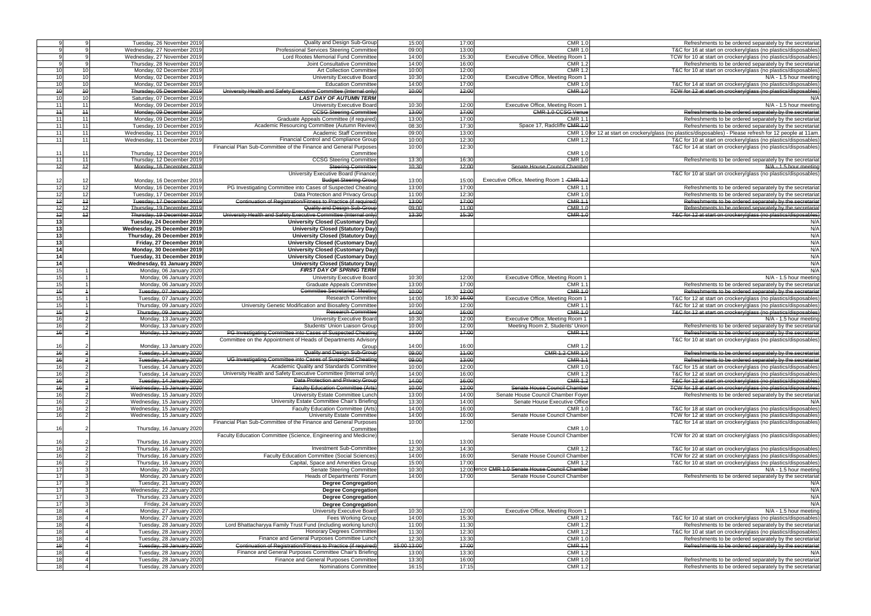|                         | Tuesday, 26 November 2019                            | Quality and Design Sub-Group                                     | 15:00          | 17:00          | <b>CMR 1.0</b>                                   | Refreshments to be ordered separately by the secretaria                                                                 |
|-------------------------|------------------------------------------------------|------------------------------------------------------------------|----------------|----------------|--------------------------------------------------|-------------------------------------------------------------------------------------------------------------------------|
|                         | Wednesday, 27 November 2019                          | Professional Services Steering Committee                         | 09:00          | 13:00          | <b>CMR 1.0</b>                                   | T&C for 16 at start on crockery/glass (no plastics/disposables                                                          |
|                         | Wednesday, 27 November 2019                          | Lord Rootes Memorial Fund Committee                              | 14:00          | 15:30          | Executive Office, Meeting Room 1                 | TCW for 10 at start on crockery/glass (no plastics/disposables                                                          |
|                         |                                                      |                                                                  |                |                |                                                  |                                                                                                                         |
|                         | Thursday, 28 November 2019                           | Joint Consultative Committee                                     | 14:00          | 16:00          | <b>CMR 1.2</b>                                   | Refreshments to be ordered separately by the secretaria                                                                 |
| 10<br>10 <sup>1</sup>   | Monday, 02 December 2019                             | <b>Art Collection Committee</b>                                  | 10:00          | 12:00          | <b>CMR 1.2</b>                                   | T&C for 10 at start on crockery/glass (no plastics/disposables                                                          |
| 10<br>10                | Monday, 02 December 2019                             | University Executive Board                                       | 10:30          | 12:00          | Executive Office, Meeting Room 1                 | N/A - 1.5 hour meeting                                                                                                  |
| 10<br>10                | Monday, 02 December 2019                             | <b>Education Committee</b>                                       | 14:00          | 17:00          | <b>CMR 1.0</b>                                   | T&C for 14 at start on crockery/glass (no plastics/disposables                                                          |
| 40<br>40                | Thursday, 05 December 2019                           | University Health and Safety Executive Committee (Internal only) | 40:00          | 12:00          | <b>CMR 1.0</b>                                   | TCW for 12 at start on crockery/glass (no plastics/disposables                                                          |
| 10<br>10                | Saturday, 07 December 2019                           | <b>LAST DAY OF AUTUMN TERM</b>                                   |                |                |                                                  |                                                                                                                         |
| 11<br>11                | Monday, 09 December 2019                             | University Executive Board                                       | 10:30          | 12:00          | Executive Office, Meeting Room 1                 | N/A - 1.5 hour meeting                                                                                                  |
| 44<br>11                | Monday, 09 December 2019                             | <b>CCSG Steering Committee</b>                                   | 13:00          | 17:00          | <b>CMR 1.0 CCSG Venue</b>                        | Refreshments to be ordered separately by the secretaria                                                                 |
|                         |                                                      |                                                                  |                |                |                                                  |                                                                                                                         |
| 11<br>11                | Monday, 09 December 2019                             | Graduate Appeals Committee (if required)                         | 13:00          | 17:00          | CMR 1.                                           | Refreshments to be ordered separately by the secretaria                                                                 |
| 11<br>11                | Tuesday, 10 December 2019                            | Academic Resourcing Committee (Autumn Review)                    | 08:30          | 17:30          | Space 17, Radcliffe CMR 1.0                      | Refreshments to be ordered separately by the secretaria                                                                 |
| 11<br>11                | Wednesday, 11 December 2019                          | Academic Staff Committee                                         | 09:00          | 13:00          |                                                  | CMR 1.0 for 12 at start on crockery/glass (no plastics/disposables) - Please refresh for 12 people at 11am              |
| 11<br>11                | Wednesday, 11 December 2019                          | Financial Control and Compliance Group                           | 10:00          | 12:30          | <b>CMR 1.2</b>                                   | T&C for 10 at start on crockery/glass (no plastics/disposables                                                          |
|                         |                                                      | Financial Plan Sub-Committee of the Finance and General Purposes | 10:00          | 12:30          |                                                  | T&C for 14 at start on crockery/glass (no plastics/disposables                                                          |
| 11<br>11                | Thursday, 12 December 2019                           | Committee                                                        |                |                | <b>CMR 1.0</b>                                   |                                                                                                                         |
| 11<br>11                | Thursday, 12 December 2019                           | <b>CCSG Steering Committee</b>                                   | 13:30          | 16:30          | <b>CMR 1.0</b>                                   | Refreshments to be ordered separately by the secretaria                                                                 |
| 12<br>12                | Monday, 16 December 2019                             | <b>Steering Committee</b>                                        | 10:30          | 12:00          | Senate House Council Chamber                     | N/A - 1.5 hour meeting                                                                                                  |
|                         |                                                      | University Executive Board (Finance)                             |                |                |                                                  | T&C for 10 at start on crockery/glass (no plastics/disposables                                                          |
| 12<br>12                | Monday, 16 December 2019                             | <b>Budget Steering Group</b>                                     | 13:00          | 15:00          | Executive Office, Meeting Room 1 - CMR 1.2       |                                                                                                                         |
| 12<br>12                | Monday, 16 December 2019                             | PG Investigating Committee into Cases of Suspected Cheating      | 13:00          | 17:00          | <b>CMR 1.1</b>                                   | Refreshments to be ordered separately by the secretaria                                                                 |
| 12<br>12                | Tuesday, 17 December 2019                            | Data Protection and Privacy Group                                | 11:00          | 12:30          | <b>CMR 1.0</b>                                   | Refreshments to be ordered separately by the secretaria                                                                 |
| $\overline{12}$<br>12   | Tuesday, 17 December 2019                            | Continuation of Registration/Fitness to Practice (if required)   | 13:00          | 47:00          | <b>CMR 1.1</b>                                   | Refreshments to be ordered separately by the secretaria                                                                 |
|                         |                                                      | Quality and Design Sub-Group                                     |                |                |                                                  |                                                                                                                         |
| $+2$<br>$\overline{12}$ | Thursday, 19 December 2019                           |                                                                  | 09:00          | 44:00          | $CMR$ 1.0                                        | Refreshments to be ordered separately by the secretaria                                                                 |
| 12<br>12                | Thursday, 19 December 2019                           | University Health and Safety Executive Committee (Internal only) | 13:30          | 15:30          | <b>CMR 1.0</b>                                   | T&C for 12 at start on crockery/glass (no plastics/disposables                                                          |
| 13                      | Tuesday, 24 December 2019                            | <b>University Closed (Customary Day)</b>                         |                |                |                                                  | N/A                                                                                                                     |
| 13                      | Wednesday, 25 December 2019                          | <b>University Closed (Statutory Day)</b>                         |                |                |                                                  | N/A                                                                                                                     |
| $\overline{13}$         | Thursday, 26 December 2019                           | University Closed (Statutory Day)                                |                |                |                                                  | N/A                                                                                                                     |
| 13                      | Friday, 27 December 2019                             | <b>University Closed (Customary Day)</b>                         |                |                |                                                  | N/A                                                                                                                     |
| 14                      | Monday, 30 December 2019                             | University Closed (Customary Day)                                |                |                |                                                  | N/A                                                                                                                     |
| 14                      | Tuesday, 31 December 2019                            | <b>University Closed (Customary Day)</b>                         |                |                |                                                  | N/A                                                                                                                     |
| 14                      | Wednesday, 01 January 2020                           | <b>University Closed (Statutory Day)</b>                         |                |                |                                                  | N/A                                                                                                                     |
| 15                      | Monday, 06 January 2020                              | <b>FIRST DAY OF SPRING TERM</b>                                  |                |                |                                                  | N/A                                                                                                                     |
| 15                      | Monday, 06 January 2020                              | University Executive Board                                       | 10:30          | 12:00          | Executive Office, Meeting Room 1                 | N/A - 1.5 hour meeting                                                                                                  |
|                         |                                                      |                                                                  |                |                |                                                  |                                                                                                                         |
| 15                      | Monday, 06 January 2020                              | <b>Graduate Appeals Committee</b>                                | 13:00          | 17:00          | <b>CMR 1.1</b>                                   | Refreshments to be ordered separately by the secretaria                                                                 |
| $\overline{45}$         | Tuesday, 07 January 2020                             | <b>Committee Secretaries' Meeting</b>                            | 40:00          | 12:00          | <b>CMR 1.0</b>                                   | Refreshments to be ordered separately by the secretaria                                                                 |
| 15                      | Tuesday, 07 January 2020                             | <b>Research Committee</b>                                        | 14:00          | 16:30 16:00    | Executive Office, Meeting Room 1                 | T&C for 12 at start on crockery/glass (no plastics/disposables                                                          |
| 15                      | Thursday, 09 January 2020                            | University Genetic Modification and Biosafety Committee          | 10:00          | 12:00          | CMR 1.                                           | T&C for 12 at start on crockery/glass (no plastics/disposables                                                          |
| 45                      | Thursday, 09 January 2020                            | <b>Research Committee</b>                                        | 44:00          | 46:00          | <b>CMR 1.0</b>                                   | T&C for 12 at start on crockery/glass (no plastics/disposables                                                          |
| 16                      | Monday, 13 January 2020                              | <b>University Executive Board</b>                                | 10:30          | 12:00          | Executive Office, Meeting Room 1                 | N/A - 1.5 hour meeting                                                                                                  |
| 16                      | Monday, 13 January 2020                              | Students' Union Liaison Group                                    | 10:00          | 12:00          | Meeting Room 2, Students' Union                  | Refreshments to be ordered separately by the secretaria                                                                 |
| 46                      | Monday, 13 January 2020                              | PG Investigating Committee into Cases of Suspected Cheating      | 13:00          | 47:00          | <b>CMR 1.1</b>                                   | Refreshments to be ordered separately by the secretaria                                                                 |
|                         |                                                      | Committee on the Appointment of Heads of Departments Advisory    |                |                |                                                  | T&C for 10 at start on crockery/glass (no plastics/disposables                                                          |
| 16                      | Monday, 13 January 2020                              | Group                                                            | 14:00          | 16:00          | <b>CMR 1.2</b>                                   |                                                                                                                         |
| $\overline{46}$         | Tuesday, 14 January 2020                             | Quality and Design Sub-Group                                     | 09:00          | 11:00          | <b>CMR 1.2 CMR 1.0</b>                           | Refreshments to be ordered separately by the secretaria                                                                 |
| $\overline{46}$         | Tuesday, 14 January 2020                             | UG Investigating Committee into Cases of Suspected Cheating      | 09:00          | 43:00          | <b>CMR 1.1</b>                                   | Refreshments to be ordered separately by the secretaria                                                                 |
| 16                      | Tuesday, 14 January 2020                             | Academic Quality and Standards Committee                         | 10:00          | 12:00          | <b>CMR 1.0</b>                                   | T&C for 15 at start on crockery/glass (no plastics/disposables                                                          |
| 16                      | Tuesday, 14 January 2020                             | University Health and Safety Executive Committee (Internal only) | 14:00          | 16:00          | <b>CMR 1.2</b>                                   | T&C for 12 at start on crockery/glass (no plastics/disposables                                                          |
| 46                      | Tuesday, 14 January 2020                             | Data Protection and Privacy Group                                | 14:00          | 16:00          | <b>CMR 1.2</b>                                   | T&C for 12 at start on crockery/glass (no plastics/disposables                                                          |
|                         |                                                      |                                                                  |                |                |                                                  |                                                                                                                         |
| 46                      | Wednesday, 15 January 2020                           | <b>Faculty Education Committee (Arts)</b>                        | 40:00          | 42:00          | Senate House Council Chamber                     | TCW for 18 at start on crockery/glass (no plastics/disposables                                                          |
| 16                      | Wednesday, 15 January 2020                           | University Estate Committee Lunch                                | 13:00          | 14:00          | Senate House Council Chamber Foyer               | Refreshments to be ordered separately by the secretaria                                                                 |
| 16                      | Wednesday, 15 January 2020                           | University Estate Committee Chair's Briefing                     | 13:30          | 14:00          | Senate House Executive Office                    |                                                                                                                         |
| 16                      | Wednesday, 15 January 2020                           | Faculty Education Committee (Arts)                               | 14:00          | 16:00          | <b>CMR 1.0</b>                                   | T&C for 18 at start on crockery/glass (no plastics/disposables                                                          |
| 16                      | Wednesday, 15 January 2020                           | University Estate Committee                                      | 14:00          | 16:00          | Senate House Council Chamber                     | TCW for 12 at start on crockery/glass (no plastics/disposables                                                          |
|                         |                                                      | Financial Plan Sub-Committee of the Finance and General Purposes | 10:00          | 12:00          |                                                  | T&C for 14 at start on crockery/glass (no plastics/disposables                                                          |
| 16                      | Thursday, 16 January 2020                            | Committee                                                        |                |                | <b>CMR 1.0</b>                                   |                                                                                                                         |
|                         |                                                      | Faculty Education Committee (Science, Engineering and Medicine)  |                |                | Senate House Council Chamber                     | TCW for 20 at start on crockery/glass (no plastics/disposables                                                          |
| 16                      | Thursday, 16 January 2020                            |                                                                  | 11:00          | 13:00          |                                                  |                                                                                                                         |
| 16                      | Thursday, 16 January 2020                            | <b>Investment Sub-Committee</b>                                  | 12:30          | 14:30          | <b>CMR 1.2</b>                                   | T&C for 10 at start on crockery/glass (no plastics/disposables                                                          |
| 16                      | Thursday, 16 January 2020                            | <b>Faculty Education Committee (Social Sciences)</b>             | 14:00          | 16:00          | Senate House Council Chamber                     | TCW for 22 at start on crockery/glass (no plastics/disposables                                                          |
| 16                      | Thursday, 16 January 2020                            | Capital, Space and Amenities Group                               | 15:00          | 17:00          | <b>CMR 1.2</b>                                   | T&C for 10 at start on crockery/glass (no plastics/disposables                                                          |
| 17                      | Monday, 20 January 2020                              | <b>Senate Steering Committee</b>                                 | 10:30          |                | 12:00 lence CMR 1.0 Senate House Council Chamber | N/A - 1.5 hour meeting                                                                                                  |
| 17                      | Monday, 20 January 2020                              | Heads of Departments' Forum                                      | 14:00          | 17:00          | Senate House Council Chamber                     | Refreshments to be ordered separately by the secretaria                                                                 |
| 17                      | Tuesday, 21 January 2020                             | <b>Degree Congregation</b>                                       |                |                |                                                  | N/A                                                                                                                     |
| 17                      | Wednesday, 22 January 2020                           | <b>Degree Congregation</b>                                       |                |                |                                                  | N/A                                                                                                                     |
|                         |                                                      |                                                                  |                |                |                                                  |                                                                                                                         |
| 17                      | Thursday, 23 January 2020                            | <b>Degree Congregation</b>                                       |                |                |                                                  | N/A                                                                                                                     |
| 17                      | Friday, 24 January 2020                              | <b>Degree Congregation</b>                                       |                |                |                                                  | N/A                                                                                                                     |
| 18                      | Monday, 27 January 2020                              | University Executive Board                                       | 10:30          | 12:00          | Executive Office, Meeting Room                   | $N/A - 1.5$ hour meeting                                                                                                |
| 18                      | Monday, 27 January 2020                              | Fees Working Group                                               | 14:00          | 15:30          | <b>CMR 1.2</b>                                   | T&C for 10 at start on crockery/glass (no plastics/disposables                                                          |
| 18                      | Tuesday, 28 January 2020                             | Lord Bhattacharyya Family Trust Fund (including working lunch)   | 11:00          | 11:30          | <b>CMR 1.2</b>                                   | Refreshments to be ordered separately by the secretaria                                                                 |
| 18                      | Tuesday, 28 January 2020                             | Honorary Degrees Committee                                       | 11:30          | 12:30          | <b>CMR 1.2</b>                                   | T&C for 10 at start on crockery/glass (no plastics/disposables                                                          |
| 18                      | Tuesday, 28 January 2020                             | Finance and General Purposes Committee Lunch                     | 12:30          | 13:30          | <b>CMR 1.0</b>                                   | Refreshments to be ordered separately by the secretaria                                                                 |
|                         |                                                      |                                                                  | 15:00 13:00    | 17:00          | <b>CMR 1.1</b>                                   | Refreshments to be ordered separately by the secretaria                                                                 |
|                         |                                                      |                                                                  |                |                |                                                  |                                                                                                                         |
| $\overline{48}$         | Tuesday, 28 January 2020                             | Continuation of Registration/Fitness to Practice (if required)   |                |                |                                                  | N/A                                                                                                                     |
| 18                      | Tuesday, 28 January 2020                             | Finance and General Purposes Committee Chair's Briefing          | 13:00          | 13:30          | <b>CMR 1.2</b>                                   |                                                                                                                         |
| 18<br>18                | Tuesday, 28 January 2020<br>Tuesday, 28 January 2020 | Finance and General Purposes Committee<br>Nominations Committee  | 13:30<br>16:15 | 16:00<br>17:15 | <b>CMR 1.0</b><br><b>CMR 1.2</b>                 | Refreshments to be ordered separately by the secretariat<br>Refreshments to be ordered separately by the secretariation |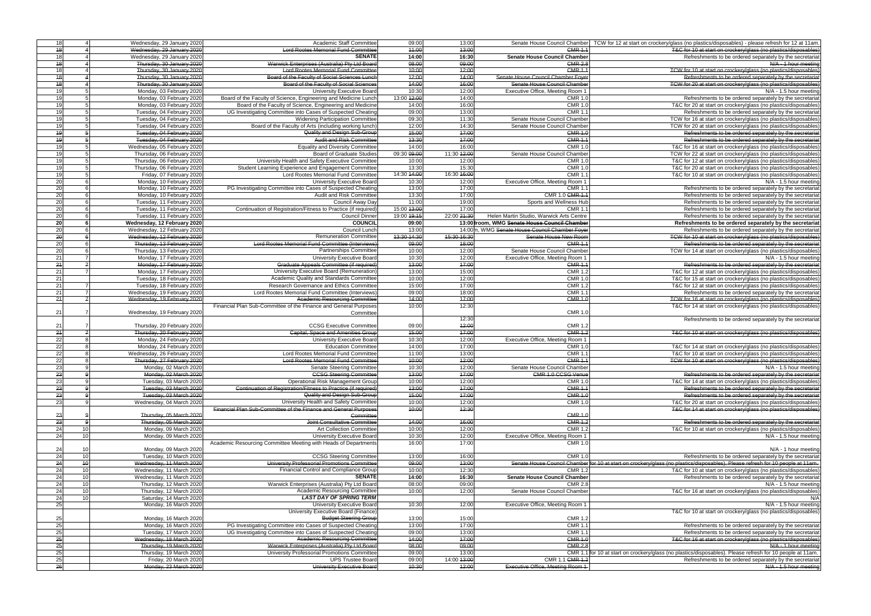|                      |                             |                                                                  | 09:00       |             |                                                |                                                                                                                                 |
|----------------------|-----------------------------|------------------------------------------------------------------|-------------|-------------|------------------------------------------------|---------------------------------------------------------------------------------------------------------------------------------|
| 18                   | Wednesday, 29 January 2020  | Academic Staff Committee                                         |             | 13:00       | Senate House Council Chamber                   | TCW for 12 at start on crockery/glass (no plastics/disposables) - please refresh for 12 at 11am.                                |
| $\frac{1}{6}$        | Wednesday, 29 January 2020  | <b>Lord Rootes Memorial Fund Committee</b>                       | 14:00       | 43:00       | CMR <sub>1</sub>                               | T&C for 10 at start on crockery/glass (no plastics/disposables                                                                  |
| 18                   | Wednesday, 29 January 2020  | <b>SENATE</b>                                                    | 14:00       | 16:30       | <b>Senate House Council Chamber</b>            | Refreshments to be ordered separately by the secretaria                                                                         |
| 18                   | Thursday, 30 January 2020   | Warwick Enterprises (Australia) Pty Ltd Board                    | 08:00       | 09:00       | <b>CMR 2.8</b>                                 | N/A - 1 hour meeting                                                                                                            |
| 18                   | Thursday, 30 January 2020   | <b>Lord Rootes Memorial Fund Committee</b>                       | 40:00       | 12:00       | <b>CMR 1.1</b>                                 | TCW for 10 at start on crockery/glass (no plastics/disposables                                                                  |
| $\frac{1}{2}$        | Thursday, 30 January 2020   | Board of the Faculty of Social Sciences Lunch                    | 42:00       | 14:00       | Senate House Council Chamber Foyer             | Refreshments to be ordered separately by the secretarial                                                                        |
| $\frac{1}{2}$        | Thursday, 30 January 2020   | Board of the Faculty of Social Sciences                          | 44:00       | 16:00       | Senate House Council Chamber                   | TCW for 20 at start on crockery/glass (no plastics/disposables                                                                  |
|                      |                             |                                                                  |             |             |                                                |                                                                                                                                 |
| 19                   | Monday, 03 February 2020    | <b>University Executive Board</b>                                | 10:30       | 12:00       | Executive Office, Meeting Room 1               | N/A - 1.5 hour meeting                                                                                                          |
| 19                   | Monday, 03 February 2020    | Board of the Faculty of Science, Engineering and Medicine Lunch  | 13:00 12:00 | 14:00       | <b>CMR 1.0</b>                                 | Refreshments to be ordered separately by the secretariation                                                                     |
| 19                   | Monday, 03 February 2020    | Board of the Faculty of Science, Engineering and Medicine        | 14:00       | 16:00       | <b>CMR 1.</b>                                  | T&C for 20 at start on crockery/glass (no plastics/disposables                                                                  |
| 19                   | Tuesday, 04 February 2020   | UG Investigating Committee into Cases of Suspected Cheating      | 09:00       | 13:00       | CMR 1.                                         | Refreshments to be ordered separately by the secretariat                                                                        |
| 19                   | Tuesday, 04 February 2020   | Widening Participation Committee                                 | 09:30       | 11:30       | Senate House Council Chamber                   | TCW for 16 at start on crockery/glass (no plastics/disposables                                                                  |
| 19                   | Tuesday, 04 February 2020   | Board of the Faculty of Arts (including working lunch)           | 12:00       | 14:30       | Senate House Council Chamber                   | TCW for 20 at start on crockery/glass (no plastics/disposables                                                                  |
|                      |                             | Quality and Design Sub-Group                                     |             |             |                                                | Refreshments to be ordered separately by the secretaria                                                                         |
| $\overline{19}$      | Tuesday, 04 February 2020   |                                                                  | 15:00       | 47:00       | <b>CMR 1.0</b>                                 |                                                                                                                                 |
| $\overline{49}$      | Tuesday, 04 February 2020   | <b>Audit and Risk Committee</b>                                  | 13:30       | 17:00       | <b>CMR 1.1</b>                                 | Refreshments to be ordered separately by the secretaria                                                                         |
| 19                   | Wednesday, 05 February 2020 | <b>Equality and Diversity Committee</b>                          | 14:00       | 16:00       | CMR 1.0                                        | T&C for 16 at start on crockery/glass (no plastics/disposables                                                                  |
| 19                   | Thursday, 06 February 2020  | <b>Board of Graduate Studies</b>                                 | 09:30 09:00 | 11:30 12:00 | Senate House Council Chamber                   | TCW for 22 at start on crockery/glass (no plastics/disposables                                                                  |
| 19                   | Thursday, 06 February 2020  | University Health and Safety Executive Committee                 | 10:00       | 12:00       | CMR 1.0                                        | T&C for 12 at start on crockery/glass (no plastics/disposables                                                                  |
| 19                   | Thursday, 06 February 2020  | Student Learning Experience and Engagement Committee             | 13:30       | 15:30       | <b>CMR 1.0</b>                                 | T&C for 20 at start on crockery/glass (no plastics/disposables                                                                  |
| 19                   | Friday, 07 February 2020    | Lord Rootes Memorial Fund Committee                              | 14:30 14:00 | 16:30 16:00 | CMR 1.                                         | T&C for 10 at start on crockery/glass (no plastics/disposables                                                                  |
|                      |                             |                                                                  |             |             |                                                |                                                                                                                                 |
| 20                   | Monday, 10 February 2020    | University Executive Board                                       | 10:30       | 12:00       | Executive Office, Meeting Room 1               | N/A - 1.5 hour meeting                                                                                                          |
| 20                   | Monday, 10 February 2020    | PG Investigating Committee into Cases of Suspected Cheating      | 13:00       | 17:00       | CMR 1.                                         | Refreshments to be ordered separately by the secretariation                                                                     |
| 20                   | Monday, 10 February 2020    | Audit and Risk Committee                                         | 13:30       | 17:00       | CMR 1.0 <del>CMR 1.1</del>                     | Refreshments to be ordered separately by the secretariat                                                                        |
| 20                   | Tuesday, 11 February 2020   | Council Away Day                                                 | 11:00       | 19:00       | Sports and Wellness Hub                        | Refreshments to be ordered separately by the secretariat                                                                        |
| 20                   | Tuesday, 11 February 2020   | Continuation of Registration/Fitness to Practice (if required)   | 15:00 13:00 | 17:00       | CMR 1.                                         | Refreshments to be ordered separately by the secretariat                                                                        |
| 20                   | Tuesday, 11 February 2020   | <b>Council Dinner</b>                                            | 19:00 19:15 | 22:00 21:30 | Helen Martin Studio, Warwick Arts Centre       | Refreshments to be ordered separately by the secretariat                                                                        |
| 20                   |                             | <b>COUNCIL</b>                                                   | 09:00       |             | 13:00 troom, WMG Senate House Council Chamber  |                                                                                                                                 |
|                      | Wednesday, 12 February 2020 |                                                                  |             |             |                                                | Refreshments to be ordered separately by the secretaria                                                                         |
| 20                   | Wednesday, 12 February 2020 | Council Lunch                                                    | 13:00       |             | 14:00m, WMG Senate House Council Chamber Foyer | Refreshments to be ordered separately by the secretariat                                                                        |
| $\overline{20}$      | Wednesday, 12 February 2020 | <b>Remuneration Committee</b>                                    | 13:30 14:30 | 45:30 16:30 | Senate House New Room                          | TCW for 10 at start on crockery/glass (no plastics/disposables)                                                                 |
| 20                   | Thursday, 13 February 2020  | <b>Lord Rootes Memorial Fund Committee (Interviews)</b>          | 09:00       | 18:00       | <b>CMR 1.1</b>                                 | Refreshments to be ordered separately by the secretarial                                                                        |
| 20                   | Thursday, 13 February 2020  | <b>Partnerships Committee</b>                                    | 10:00       | 12:00       | Senate House Council Chamber                   | TCW for 14 at start on crockery/glass (no plastics/disposables                                                                  |
| $\overline{21}$      | Monday, 17 February 2020    | University Executive Board                                       | 10:30       | 12:00       | Executive Office, Meeting Room 1               | N/A - 1.5 hour meeting                                                                                                          |
| $\overline{24}$      | Monday, 17 February 2020    | Graduate Appeals Committee (if required)                         | 13:00       | 47:00       | <b>CMR 1.1</b>                                 | Refreshments to be ordered separately by the secretariat                                                                        |
|                      |                             |                                                                  |             |             |                                                |                                                                                                                                 |
| 21                   | Monday, 17 February 2020    | University Executive Board (Remuneration                         | 13:00       | 15:00       | <b>CMR 1.2</b>                                 | T&C for 12 at start on crockery/glass (no plastics/disposables                                                                  |
| 21                   | Tuesday, 18 February 2020   | Academic Quality and Standards Committee                         | 10:00       | 12:00       | <b>CMR 1.0</b>                                 | T&C for 15 at start on crockery/glass (no plastics/disposables                                                                  |
| $\overline{21}$      | Tuesday, 18 February 2020   | Research Governance and Ethics Committee                         | 15:00       | 17:00       | <b>CMR 1.2</b>                                 | T&C for 12 at start on crockery/glass (no plastics/disposables                                                                  |
| 21                   | Wednesday, 19 February 2020 | Lord Rootes Memorial Fund Committee (Interviews)                 | 09:00       | 18:00       | CMR 1.                                         | Refreshments to be ordered separately by the secretariation                                                                     |
| 24                   | Wednesday, 19 February 2020 | <b>Academic Resourcing Committee</b>                             | 14:00       | 47:00       | <b>CMR 1.0</b>                                 | TCW for 16 at start on crockery/glass (no plastics/disposables                                                                  |
|                      |                             | Financial Plan Sub-Committee of the Finance and General Purposes | 10:00       | 12:30       |                                                | T&C for 14 at start on crockery/glass (no plastics/disposables                                                                  |
| 21                   | Wednesday, 19 February 2020 | Committee                                                        |             |             | <b>CMR 1.</b>                                  |                                                                                                                                 |
|                      |                             |                                                                  |             | 12:30       |                                                |                                                                                                                                 |
|                      |                             |                                                                  |             |             |                                                | Refreshments to be ordered separately by the secretariat                                                                        |
| 21                   | Thursday, 20 February 2020  | <b>CCSG Executive Committee</b>                                  | 09:00       | 12:00       | CMR 1.2                                        |                                                                                                                                 |
| $\overline{24}$      | Thursday, 20 February 2020  | <b>Capital, Space and Amenities Group</b>                        | 15:00       | 17:00       | <b>CMR 1.2</b>                                 | T&C for 10 at start on crockery/glass (no plastics/disposables                                                                  |
| 22                   | Monday, 24 February 2020    | <b>University Executive Board</b>                                | 10:30       | 12:00       | Executive Office, Meeting Room 1               |                                                                                                                                 |
| 22                   | Monday, 24 February 2020    | <b>Education Committee</b>                                       | 14:00       | 17:00       | <b>CMR 1.0</b>                                 | T&C for 14 at start on crockery/glass (no plastics/disposables                                                                  |
| 22                   | Wednesday, 26 February 2020 | Lord Rootes Memorial Fund Committee                              | 11:00       | 13:00       | CMR $1.7$                                      | T&C for 10 at start on crockery/glass (no plastics/disposables                                                                  |
| 22                   | Thursday, 27 February 2020  | <b>Lord Rootes Memorial Fund Committee</b>                       | 40:00       | 12:00       | CMR <sub>1.1</sub>                             | TCW for 10 at start on crockery/glass (no plastics/disposables)                                                                 |
| 23                   | Monday, 02 March 2020       | <b>Senate Steering Committee</b>                                 | 10:30       | 12:00       | Senate House Council Chamber                   |                                                                                                                                 |
|                      |                             |                                                                  |             |             |                                                | $N/A - 1.5$ hour meeting                                                                                                        |
| 23                   | Monday, 02 March 2020       | <b>CCSG Steering Committee</b>                                   | 13:00       | 17:00       | <b>GMR 1.0 GGSG Venue</b>                      | Refreshments to be ordered separately by the secretarial                                                                        |
| 23                   | Tuesday, 03 March 2020      | <b>Operational Risk Management Group</b>                         | 10:00       | 12:00       | <b>CMR 1.0</b>                                 | T&C for 14 at start on crockery/glass (no plastics/disposables)                                                                 |
| 23                   | Tuesday, 03 March 2020      | Continuation of Registration/Fitness to Practice (if required)   | 43:00       | 17:00       | <b>CMR 1.1</b>                                 | Refreshments to be ordered separately by the secretariat                                                                        |
| 23                   | Tuesday, 03 March 2020      | Quality and Design Sub-Group                                     | 15:00       | 17:00       | <b>CMR 1.0</b>                                 | Refreshments to be ordered separately by the secretariat                                                                        |
| 23                   | Wednesday, 04 March 2020    | University Health and Safety Committee                           | 10:00       | 12:00       | <b>CMR 1.0</b>                                 | T&C for 20 at start on crockery/glass (no plastics/disposables                                                                  |
|                      |                             | Financial Plan Sub-Committee of the Finance and General Purposes | 10:00       | 12:30       |                                                | T&C for 14 at start on crockery/glass (no plastics/disposables)                                                                 |
| 23                   | Thursday, 05 March 2020     | Committee                                                        |             |             | <b>CMR 1.0</b>                                 |                                                                                                                                 |
| 23                   | Thursday, 05 March 2020     | Joint Consultative Committee                                     | 44:00       | 46:00       | <b>CMR 1.2</b>                                 | Refreshments to be ordered separately by the secretarial                                                                        |
|                      |                             |                                                                  |             |             |                                                |                                                                                                                                 |
| 24<br>10             | Monday, 09 March 2020       | <b>Art Collection Committee</b>                                  | 10:00       | 12:00       | CMR 1.2                                        | T&C for 10 at start on crockery/glass (no plastics/disposables                                                                  |
| 24<br>10             | Monday, 09 March 2020       | <b>University Executive Board</b>                                | 10:30       | 12:00       | Executive Office, Meeting Room 1               | N/A - 1.5 hour meeting                                                                                                          |
|                      |                             | Academic Resourcing Committee Meeting with Heads of Departments  | 16:00       | 17:00       | <b>CMR 1.0</b>                                 |                                                                                                                                 |
| 24                   | Monday, 09 March 2020       |                                                                  |             |             |                                                | N/A - 1 hour meeting                                                                                                            |
| 24<br>10             | Tuesday, 10 March 2020      | <b>CCSG Steering Committee</b>                                   | 13:00       | 16:00       | <b>CMR 1.</b>                                  | Refreshments to be ordered separately by the secretariat                                                                        |
| 24<br>$\overline{6}$ | Wednesday, 11 March 2020    | University Professorial Promotions Committee                     | 09:00       | 13:00       |                                                | Senate House Council Chamber for 10 at start on crockery/glass (no plastics/disposables). Please refresh for 10 people at 11am. |
| 24<br>10             | Wednesday, 11 March 2020    | Financial Control and Compliance Group                           | 10:00       | 12:30       | CMR 1.2                                        | T&C for 10 at start on crockery/glass (no plastics/disposables                                                                  |
|                      |                             | <b>SENATE</b>                                                    |             |             |                                                |                                                                                                                                 |
| 24<br>10             | Wednesday, 11 March 2020    |                                                                  | 14:00       | 16:30       | <b>Senate House Council Chamber</b>            | Refreshments to be ordered separately by the secretariat                                                                        |
| 24<br>10             | Thursday, 12 March 2020     | Warwick Enterprises (Australia) Pty Ltd Board                    | 08:00       | 09:00       | <b>CMR 2.8</b>                                 | N/A - 1.5 hour meeting                                                                                                          |
| 24<br>10             | Thursday, 12 March 2020     | Academic Resourcing Committee                                    | 10:00       | 12:00       | Senate House Council Chamber                   | T&C for 16 at start on crockery/glass (no plastics/disposables                                                                  |
| 24<br>10             | Saturday, 14 March 2020     | <b>LAST DAY OF SPRING TERM</b>                                   |             |             |                                                | N/A                                                                                                                             |
| 25                   | Monday, 16 March 2020       | University Executive Board                                       | 10:30       | 12:00       | Executive Office, Meeting Room 1               | N/A - 1.5 hour meeting                                                                                                          |
|                      |                             | University Executive Board (Finance)                             |             |             |                                                | T&C for 10 at start on crockery/glass (no plastics/disposables)                                                                 |
| 25                   | Monday, 16 March 2020       | <b>Budget Steering Group</b>                                     | 13:00       | 15:00       | <b>CMR 1.2</b>                                 |                                                                                                                                 |
| 25                   | Monday, 16 March 2020       | PG Investigating Committee into Cases of Suspected Cheating      | 13:00       | 17:00       | <b>CMR 1.1</b>                                 | Refreshments to be ordered separately by the secretariat                                                                        |
|                      |                             |                                                                  |             |             |                                                |                                                                                                                                 |
| 25                   | Tuesday, 17 March 2020      | UG Investigating Committee into Cases of Suspected Cheating      | 09:00       | 13:00       | <b>CMR 1.1</b>                                 | Refreshments to be ordered separately by the secretariation                                                                     |
| 25                   | Wednesday, 18 March 2020    | <b>Academic Resourcing Committee</b>                             | 14:00       | 17:00       | <b>CMR 1.0</b>                                 | T&C for 16 at start on crockery/glass (no plastics/disposables                                                                  |
| 25                   | Thursday, 19 March 2020     | Warwick Enterprises (Australia) Pty Ltd Board                    | 08:00       | 09:00       | <b>CMR 2.8</b>                                 | N/A - 1 hour meeting                                                                                                            |
| 25                   | Thursday, 19 March 2020     | University Professorial Promotions Committee                     | 09:00       | 13:00       | <b>CMR 1.1</b>                                 | for 10 at start on crockery/glass (no plastics/disposables). Please refresh for 10 people at 11am.                              |
| 25                   | Friday, 20 March 2020       | <b>UPS Trustee Board</b>                                         | 09:00       | 14:00 13:00 | CMR 1.1 CMR 1.2                                | Refreshments to be ordered separately by the secretariated                                                                      |
| $\frac{1}{6}$        | Monday, 23 March 2020       | University Executive Board                                       | 10:30       | 12:00       | Executive Office, Meeting Room 1               | N/A - 1.5 hour meeting                                                                                                          |
|                      |                             |                                                                  |             |             |                                                |                                                                                                                                 |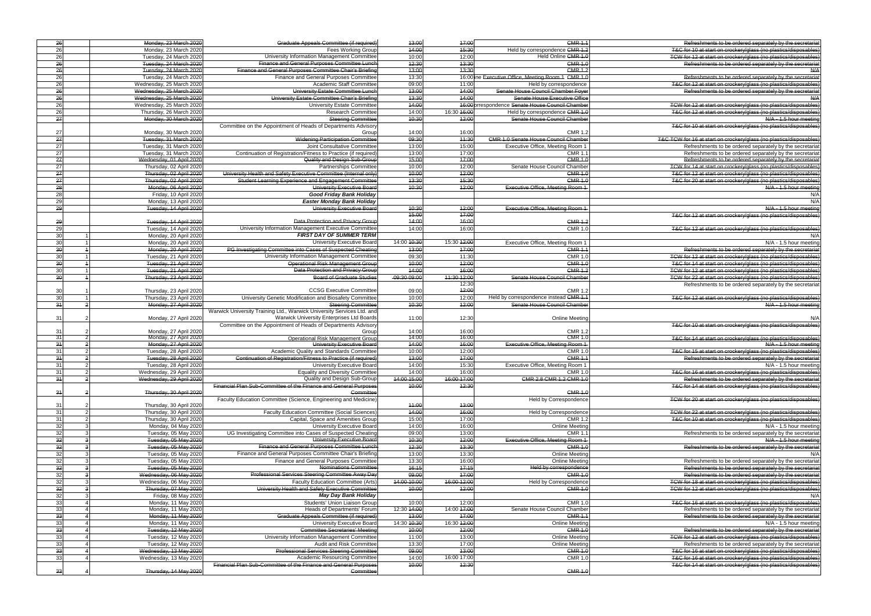|                 | 26 | Monday, 23 March 2020    | Graduate Appeals Committee (if required)                                      | 13:00       | 47:00       | <b>CMR 1.1</b>                                     | Refreshments to be ordered separately by the secretarial                                                                           |
|-----------------|----|--------------------------|-------------------------------------------------------------------------------|-------------|-------------|----------------------------------------------------|------------------------------------------------------------------------------------------------------------------------------------|
| 26              |    | Monday, 23 March 2020    | Fees Working Group                                                            | 44:00       | 15:30       | Held by correspondence CMR 1.2                     | T&C for 10 at start on crockery/glass (no plastics/disposables)                                                                    |
| 26              |    | Tuesday, 24 March 2020   | University Information Management Committee                                   | 10:00       | 12:00       | Held Online CMR 1.0                                | TCW for 12 at start on crockery/glass (no plastics/disposables)                                                                    |
| 26              |    | Tuesday, 24 March 2020   | Finance and General Purposes Committee Lunch                                  | 12:30       | 13:30       | <b>CMR 1.0</b>                                     | Refreshments to be ordered separately by the secretariat                                                                           |
| 26              |    | Tuesday, 24 March 2020   | Finance and General Purposes Committee Chair's Briefing                       | 43:00       | 13:30       | <b>CMR 1.2</b>                                     | N/A                                                                                                                                |
| 26              |    | Tuesday, 24 March 2020   | Finance and General Purposes Committee                                        | 13:30       |             | 16:00 ine Executive Office, Meeting Room 1 CMR 1.0 | Refreshments to be ordered separately by the secretariat                                                                           |
| 26              |    | Wednesday, 25 March 2020 | <b>Academic Staff Committee</b>                                               | 09:00       | 11:00       | Held by correspondence                             | T&C for 12 at start on crockery/glass (no plastics/disposables)                                                                    |
| 26              |    | Wednesday, 25 March 2020 | University Estate Committee Lunch                                             | 13:00       | 44:00       | Senate House Council Chamber Foyer                 | Refreshments to be ordered separately by the secretariat                                                                           |
| $\overline{26}$ |    | Wednesday, 25 March 2020 | University Estate Committee Chair's Briefing                                  | 13:30       | 14:00       | Senate House Executive Office                      | N/A                                                                                                                                |
| 26              |    | Wednesday, 25 March 2020 | <b>University Estate Committee</b>                                            | 14:00       |             | 16:00 prrespondence Senate House Council Chamber   | TCW for 12 at start on crockery/glass (no plastics/disposables)                                                                    |
| 26              |    | Thursday, 26 March 2020  | <b>Research Committee</b>                                                     | 14:00       | 16:30 16:00 | Held by correspondence CMR 1.0                     | T&C for 12 at start on crockery/glass (no plastics/disposables)                                                                    |
| $\overline{27}$ |    | Monday, 30 March 2020    | <b>Steering Committee</b>                                                     | 10:30       | 12:00       | Senate House Council Chamber                       | N/A - 1.5 hour meeting                                                                                                             |
|                 |    |                          | Committee on the Appointment of Heads of Departments Advisory                 |             |             |                                                    | T&C for 10 at start on crockery/glass (no plastics/disposables)                                                                    |
| 27              |    | Monday, 30 March 2020    | Group                                                                         | 14:00       | 16:00       | <b>CMR 1.2</b>                                     |                                                                                                                                    |
| 27              |    | Tuesday, 31 March 2020   | <b>Widening Participation Committee</b>                                       | 09:30       | 44:30       | <b>CMR 1.0 Senate House Council Chamber</b>        | T&C TCW for 16 at start on crockery/glass (no plastics/disposables)                                                                |
| $\overline{27}$ |    | Tuesday, 31 March 2020   | Joint Consultative Committee                                                  | 13:00       | 15:00       | Executive Office, Meeting Room 1                   | Refreshments to be ordered separately by the secretariat                                                                           |
| 27              |    | Tuesday, 31 March 2020   | Continuation of Registration/Fitness to Practice (if required)                | 13:00       | 17:00       | CMR 1.1                                            | Refreshments to be ordered separately by the secretariat                                                                           |
| $\overline{27}$ |    | Wednesday, 01 April 2020 | Quality and Design Sub-Group                                                  | 15:00       | 47:00       | <b>CMR 1.0</b>                                     | Refreshments to be ordered separately by the secretariat                                                                           |
| 27              |    |                          | Partnerships Committee                                                        | 10:00       | 12:00       | Senate House Council Chamber                       |                                                                                                                                    |
| 27              |    | Thursday, 02 April 2020  | University Health and Safety Executive Committee (Internal only)              | 10:00       | 12:00       | <b>CMR 1.0</b>                                     | TCW for 14 at start on crockery/glass (no plastics/disposables)<br>T&C for 12 at start on crockery/glass (no plastics/disposables) |
|                 |    | Thursday, 02 April 2020  |                                                                               |             |             |                                                    |                                                                                                                                    |
| 27              |    | Thursday, 02 April 2020  | Student Learning Experience and Engagement Committee                          | 13:30       | 15:30       | <b>CMR 1.0</b>                                     | T&C for 20 at start on crockery/glass (no plastics/disposables)                                                                    |
| 28              |    | Monday, 06 April 2020    | University Executive Board                                                    | 40:30       | 42:00       | Executive Office, Meeting Room 1                   | N/A - 1.5 hour meeting                                                                                                             |
| 28              |    | Friday, 10 April 2020    | <b>Good Friday Bank Holiday</b>                                               |             |             |                                                    | N/A                                                                                                                                |
| 29              |    | Monday, 13 April 2020    | <b>Easter Monday Bank Holiday</b>                                             |             |             |                                                    | N/A                                                                                                                                |
| 29              |    | Tuesday, 14 April 2020   | University Executive Board                                                    | 10:30       | 12:00       | Executive Office, Meeting Room 1                   | N/A - 1.5 hour meeting                                                                                                             |
|                 |    |                          |                                                                               | 15:00       | 47:00       |                                                    | T&C for 12 at start on crockery/glass (no plastics/disposables)                                                                    |
| 29              |    | Tuesday, 14 April 2020   | Data Protection and Privacy Group                                             | 44:00       | 16:00       | <b>CMR 1.2</b>                                     |                                                                                                                                    |
| 29              |    | Tuesday, 14 April 2020   | University Information Management Executive Committee                         | 14:00       | 16:00       | <b>CMR 1.0</b>                                     | T&C for 12 at start on crockery/glass (no plastics/disposables)                                                                    |
| 30              |    | Monday, 20 April 2020    | <b>FIRST DAY OF SUMMER TERM</b>                                               |             |             |                                                    | N/A                                                                                                                                |
| 30              |    | Monday, 20 April 2020    | University Executive Board                                                    | 14:00 10:30 | 15:30 12:00 | Executive Office, Meeting Room 1                   | N/A - 1.5 hour meeting                                                                                                             |
| 30              |    | Monday, 20 April 2020    | PG Investigating Committee into Cases of Suspected Cheating                   | 13:00       | 17:00       | <b>CMR 1.1</b>                                     | Refreshments to be ordered separately by the secretariat                                                                           |
| 30              |    | Tuesday, 21 April 2020   | University Information Management Committee                                   | 09:30       | 11:30       | <b>CMR 1.0</b>                                     | TCW for 12 at start on crockery/glass (no plastics/disposables)                                                                    |
| 30              |    | Tuesday, 21 April 2020   | Operational Risk Management Group                                             | 40:00       | 12:00       | <b>CMR 1.0</b>                                     | T&C for 14 at start on crockery/glass (no plastics/disposables)                                                                    |
| 30              |    | Tuesday, 21 April 2020   | Data Protection and Privacy Group                                             | 14:00       | 46:00       | <b>CMR 1.2</b>                                     | TCW for 12 at start on crockery/glass (no plastics/disposables)                                                                    |
| $\overline{30}$ |    | Thursday, 23 April 2020  | <b>Board of Graduate Studies</b>                                              | 09:30 09:00 | 11:30 12:00 | Senate House Council Chamber                       | TCW for 22 at start on crockery/glass (no plastics/disposables)                                                                    |
|                 |    |                          |                                                                               |             | 12:30       |                                                    | Refreshments to be ordered separately by the secretariat                                                                           |
| 30              |    | Thursday, 23 April 2020  | <b>CCSG Executive Committee</b>                                               | 09:00       | 42:00       | <b>CMR 1.2</b>                                     |                                                                                                                                    |
| 30              |    | Thursday, 23 April 2020  | University Genetic Modification and Biosafety Committee                       | 10:00       | 12:00       | Held by correspondence instead CMR 1.1             | T&C for 12 at start on crockery/glass (no plastics/disposables)                                                                    |
| 34              |    | Monday, 27 April 2020    | <b>Steering Committee</b>                                                     | 10:30       | 12:00       | Senate House Council Chamber                       | N/A - 1.5 hour meeting                                                                                                             |
|                 |    |                          | Warwick University Training Ltd., Warwick University Services Ltd. and        |             |             |                                                    |                                                                                                                                    |
| 31              |    | Monday, 27 April 2020    | Warwick University Enterprises Ltd Boards                                     | 11:00       | 12:30       | <b>Online Meeting</b>                              | N/A                                                                                                                                |
|                 |    |                          | Committee on the Appointment of Heads of Departments Advisory                 |             |             |                                                    | T&C for 10 at start on crockery/glass (no plastics/disposables)                                                                    |
| 31              |    | Monday, 27 April 2020    | Group                                                                         | 14:00       | 16:00       | <b>CMR 1.2</b>                                     |                                                                                                                                    |
| 31              |    | Monday, 27 April 2020    | Operational Risk Management Group                                             | 14:00       | 16:00       | <b>CMR 1.0</b>                                     | T&C for 14 at start on crockery/glass (no plastics/disposables)                                                                    |
| 34              |    | Monday, 27 April 2020    | University Executive Board                                                    | 44:00       | 16:00       | Executive Office, Meeting Room 1                   | N/A - 1.5 hour meeting                                                                                                             |
| 31              |    | Tuesday, 28 April 2020   | Academic Quality and Standards Committee                                      | 10:00       | 12:00       | <b>CMR 1.0</b>                                     | T&C for 15 at start on crockery/glass (no plastics/disposables)                                                                    |
| 34              |    | Tuesday, 28 April 2020   |                                                                               |             |             |                                                    | Refreshments to be ordered separately by the secretariat                                                                           |
| 31              |    |                          |                                                                               |             |             |                                                    |                                                                                                                                    |
|                 |    |                          | Continuation of Registration/Fitness to Practice (if required)                | 13:00       | 47:00       | <b>CMR 1.1</b>                                     |                                                                                                                                    |
| 34              |    | Tuesday, 28 April 2020   | <b>University Executive Board</b>                                             | 14:00       | 15:30       | Executive Office, Meeting Room 1                   | N/A - 1.5 hour meeting                                                                                                             |
|                 | 31 | Wednesday, 29 April 2020 | <b>Equality and Diversity Committee</b>                                       | 14:00       | 16:00       | <b>CMR 1.0</b>                                     | T&C for 16 at start on crockery/glass (no plastics/disposables)                                                                    |
|                 |    | Wednesday, 29 April 2020 | Quality and Design Sub-Group                                                  | 14:00 15:00 | 16:00 17:00 | CMR 2.8 CMR 1.2 CMR 1.0                            | Refreshments to be ordered separately by the secretarial                                                                           |
|                 |    |                          | Financial Plan Sub-Committee of the Finance and General Purposes              | 10:00       | 12:30       |                                                    | T&C for 14 at start on crockery/glass (no plastics/disposables)                                                                    |
| 34              |    | Thursday, 30 April 2020  | Committee                                                                     |             |             | <b>CMR 1.0</b>                                     |                                                                                                                                    |
|                 |    |                          | Faculty Education Committee (Science, Engineering and Medicine)               |             |             | Held by Correspondence                             | TCW for 20 at start on crockery/glass (no plastics/disposables)                                                                    |
| 31              |    | Thursday, 30 April 2020  |                                                                               | 44:00       | 13:00       |                                                    |                                                                                                                                    |
| 31              |    | Thursday, 30 April 2020  | Faculty Education Committee (Social Sciences)                                 | 44:00       | 46:00       | <b>Held by Correspondence</b>                      | TCW for 22 at start on crockery/glass (no plastics/disposables)                                                                    |
| 31              |    | Thursday, 30 April 2020  | Capital, Space and Amenities Group                                            | 15:00       | 17:00       | <b>CMR 1.2</b>                                     | T&C for 10 at start on crockery/glass (no plastics/disposables)                                                                    |
| 32              |    | Monday, 04 May 2020      | University Executive Board                                                    | 14:00       | 16:00       | <b>Online Meeting</b>                              | N/A - 1.5 hour meeting                                                                                                             |
| 32              |    | Tuesday, 05 May 2020     | UG Investigating Committee into Cases of Suspected Cheating                   | 09:00       | 13:00       | <b>CMR 1.1</b>                                     | Refreshments to be ordered separately by the secretariat                                                                           |
| 32              |    | Tuesday, 05 May 2020     | University Executive Board                                                    | 40:30       | 12:00       | Executive Office, Meeting Room 1                   | $N/A - 1.5$ hour meeting                                                                                                           |
| 32              |    | Tuesday, 05 May 2020     | Finance and General Purposes Committee Lunch                                  | 42:30       | 13:30       | <b>CMR 1.0</b>                                     | Refreshments to be ordered separately by the secretariat                                                                           |
| 32              |    | Tuesday, 05 May 2020     | Finance and General Purposes Committee Chair's Briefing                       | 13:00       | 13:30       | <b>Online Meeting</b>                              | N/A                                                                                                                                |
| 32              |    | Tuesday, 05 May 2020     | Finance and General Purposes Committee                                        | 13:30       | 16:00       | <b>Online Meeting</b>                              | Refreshments to be ordered separately by the secretariat                                                                           |
| 32              |    | Tuesday, 05 May 2020     | Nominations Committee                                                         | 46:15       | 17:15       | Held by correspondence                             | Refreshments to be ordered separately by the secretariat                                                                           |
| 32              |    | Wednesday, 06 May 2020   | Professional Services Steering Committee Away Day                             | 09:00       | 17:00       | <b>CMR 1.0</b>                                     | Refreshments to be ordered separately by the secretariat                                                                           |
| 32              |    | Wednesday, 06 May 2020   | <b>Faculty Education Committee (Arts)</b>                                     | 14:00 10:00 | 16:00 12:00 | Held by Correspondence                             | TCW for 18 at start on crockery/glass (no plastics/disposables)                                                                    |
| 32              |    | Thursday, 07 May 2020    | University Health and Safety Executive Committee                              | 40:00       | 42:00       | <b>CMR 1.0</b>                                     | TCW for 12 at start on crockery/glass (no plastics/disposables)                                                                    |
|                 |    | Friday, 08 May 2020      | <b>May Day Bank Holiday</b>                                                   |             |             |                                                    |                                                                                                                                    |
| 32              |    | Monday, 11 May 2020      | Students' Union Liaison Group                                                 | 10:00       | 12:00       | <b>CMR 1.0</b>                                     | T&C for 16 at start on crockery/glass (no plastics/disposables)                                                                    |
| 33              |    |                          |                                                                               | 12:30 44:00 | 14:00 47:00 | Senate House Council Chamber                       |                                                                                                                                    |
| 33              |    | Monday, 11 May 2020      | <b>Heads of Departments' Forum</b>                                            |             |             | <b>CMR 1.1</b>                                     | Refreshments to be ordered separately by the secretariat                                                                           |
| 33              |    | Monday, 11 May 2020      | Graduate Appeals Committee (if required)                                      | 13:00       | 47:00       |                                                    | Refreshments to be ordered separately by the secretariat                                                                           |
| 33              |    | Monday, 11 May 2020      | University Executive Board                                                    | 14:30 10:30 | 16:30 12:00 | <b>Online Meeting</b>                              | $N/A - 1.5$ hour meeting                                                                                                           |
| 33              |    | Tuesday, 12 May 2020     | <b>Committee Secretaries' Meeting</b>                                         | 10:00       | 42:00       | <b>CMR 1.0</b>                                     | Refreshments to be ordered separately by the secretariat                                                                           |
| 33              |    | Tuesday, 12 May 2020     | University Information Management Committee                                   | 11:00       | 13:00       | <b>Online Meeting</b>                              | TCW for 12 at start on crockery/glass (no plastics/disposables)                                                                    |
| 33              |    | Tuesday, 12 May 2020     | Audit and Risk Committee                                                      | 13:30       | 17:00       | Online Meeting                                     |                                                                                                                                    |
| 33              |    | Wednesday, 13 May 2020   | <b>Professional Services Steering Committee</b>                               | 09:00       | 43:00       | <b>CMR 1.0</b>                                     | T&C for 16 at start on crockery/glass (no plastics/disposables)                                                                    |
| 33              |    | Wednesday, 13 May 2020   | Academic Resourcing Committee                                                 | 14:00       | 16:00 17:00 | <b>CMR 1.0</b>                                     | T&C for 16 at start on crockery/glass (no plastics/disposables)                                                                    |
| 33              |    | Thursday, 14 May 2020    | Financial Plan Sub-Committee of the Finance and General Purposes<br>Committee | 10:00       | 42:30       | CMR 1.0                                            | Refreshments to be ordered separately by the secretariat<br>T&C for 14 at start on crockery/glass (no plastics/disposables)        |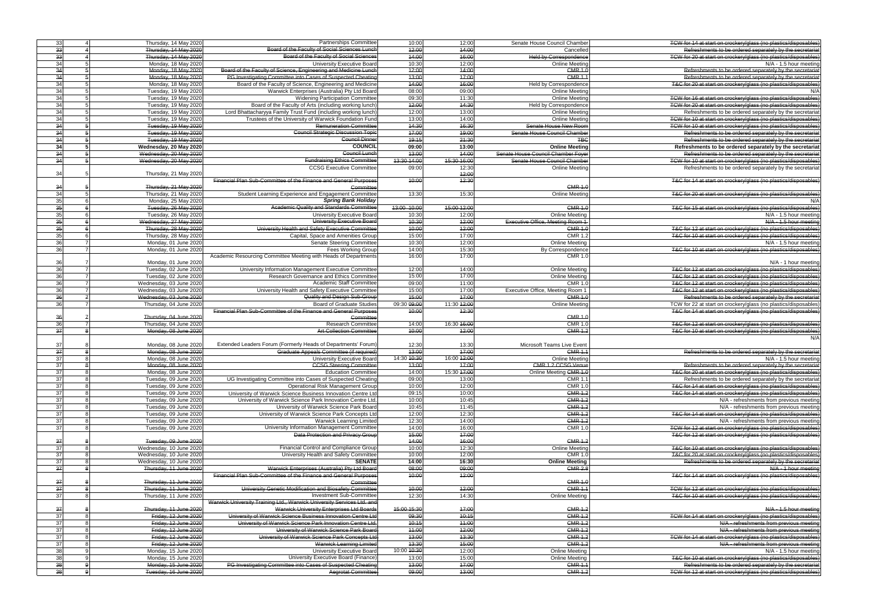| 33              | Thursday, 14 May 2020   | <b>Partnerships Committee</b>                                          | 10:00       | 12:00       | Senate House Council Chamber       | TCW for 14 at start on crockery/glass (no plastics/disposables) |
|-----------------|-------------------------|------------------------------------------------------------------------|-------------|-------------|------------------------------------|-----------------------------------------------------------------|
| $\overline{33}$ | Thursday, 14 May 2020   | Board of the Faculty of Social Sciences Lunch                          | 12:00       | 44:00       | Cancelled                          | Refreshments to be ordered separately by the secretariat        |
| 33              | Thursday, 14 May 2020   | Board of the Faculty of Social Sciences                                | 14:00       | 46:00       | <b>Held by Correspondence</b>      | TCW for 20 at start on crockery/glass (no plastics/disposables) |
|                 |                         |                                                                        |             |             |                                    |                                                                 |
| 34              | Monday, 18 May 2020     | <b>University Executive Board</b>                                      | 10:30       | 12:00       | <b>Online Meeting</b>              | N/A - 1.5 hour meeting                                          |
| 34              | Monday, 18 May 2020     | Board of the Faculty of Science, Engineering and Medicine Lunch        | 12:00       | 44:00       | <b>CMR 1.0</b>                     | Refreshments to be ordered separately by the secretariat        |
| 34              | Monday, 18 May 2020     | PG Investigating Committee into Cases of Suspected Cheating            | 13:00       | 47:00       | <b>CMR 1.1</b>                     | Refreshments to be ordered separately by the secretariat        |
| 34              | Monday, 18 May 2020     | Board of the Faculty of Science, Engineering and Medicine              | 44:00       | 16:00       | <b>Held by Correspondence</b>      | T&C for 20 at start on crockery/glass (no plastics/disposables) |
|                 |                         |                                                                        |             |             |                                    |                                                                 |
| 34              | Tuesday, 19 May 2020    | Warwick Enterprises (Australia) Pty Ltd Board                          | 08:00       | 09:00       | <b>Online Meeting</b>              | N/A                                                             |
| 34              | Tuesday, 19 May 2020    | <b>Widening Participation Committee</b>                                | 09:30       | 11:30       | <b>Online Meeting</b>              | TCW for 16 at start on crockery/glass (no plastics/disposables) |
| 34              | Tuesday, 19 May 2020    | Board of the Faculty of Arts (including working lunch)                 | 42:00       | 44:30       | Held by Correspondence             | TCW for 20 at start on crockery/glass (no plastics/disposables) |
| 34              |                         | Lord Bhattacharyya Family Trust Fund (including working lunch          | 12:00       | 13:00       |                                    | Refreshments to be ordered separately by the secretariat        |
|                 | Tuesday, 19 May 2020    |                                                                        |             |             | <b>Online Meeting</b>              |                                                                 |
| 34              | Tuesday, 19 May 2020    | Trustees of the University of Warwick Foundation Fund                  | 13:00       | 14:00       | <b>Online Meeting</b>              | TCW for 10 at start on crockery/glass (no plastics/disposables) |
| 34              | Tuesday, 19 May 2020    | <b>Remuneration Committee</b>                                          | 44:30       | 46:30       | Senate House New Room              | TCW for 10 at start on crockery/glass (no plastics/disposables) |
| $\overline{34}$ | Tuesday, 19 May 2020    | <b>Council Strategic Discussion Topic</b>                              | 17:00       | 49:00       | Senate House Council Chamber       | Refreshments to be ordered separately by the secretarial        |
|                 |                         |                                                                        |             |             |                                    |                                                                 |
| 34              | Tuesday, 19 May 2020    | <b>Council Dinner</b>                                                  | 19:15       | 21:30       | <b>TBC</b>                         | Refreshments to be ordered separately by the secretarial        |
| 34              | Wednesday, 20 May 2020  | <b>COUNCIL</b>                                                         | 09:00       | 13:00       | <b>Online Meeting</b>              | Refreshments to be ordered separately by the secretariat        |
| 34              | Wednesday, 20 May 2020  | Council Lunch                                                          | 13:00       | 44:00       | Senate House Council Chamber Foyer | Refreshments to be ordered separately by the secretariat        |
| 34              | Wednesday, 20 May 2020  | <b>Fundraising Ethics Committee</b>                                    | 13:30 14:00 | 15:30 16:00 | Senate House Council Chamber       | TCW for 10 at start on crockery/glass (no plastics/disposables) |
|                 |                         |                                                                        |             |             |                                    |                                                                 |
|                 |                         | <b>CCSG Executive Committee</b>                                        | 09:00       | 12:30       | Online Meeting                     | Refreshments to be ordered separately by the secretariat        |
| 34              | Thursday, 21 May 2020   |                                                                        |             | 42:00       |                                    |                                                                 |
|                 |                         | Financial Plan Sub-Committee of the Finance and General Purposes       | 40:00       | 12:30       |                                    | T&C for 14 at start on crockery/glass (no plastics/disposables) |
| 34              | Thursday, 21 May 2020   | Committee                                                              |             |             | <b>CMR 1.0</b>                     |                                                                 |
| 34              |                         | Student Learning Experience and Engagement Committee                   | 13:30       | 15:30       | <b>Online Meeting</b>              | T&C for 20 at start on crockery/glass (no plastics/disposables) |
|                 | Thursday, 21 May 2020   |                                                                        |             |             |                                    |                                                                 |
| 35              | Monday, 25 May 2020     | <b>Spring Bank Holiday</b>                                             |             |             |                                    | N/A                                                             |
| $\overline{35}$ | Tuesday, 26 May 2020    | Academic Quality and Standards Committee                               | 13:00 10:00 | 15:00 12:00 | <b>CMR 1.0</b>                     | T&C for 15 at start on crockery/glass (no plastics/disposables) |
| 35              | Tuesday, 26 May 2020    | University Executive Board                                             | 10:30       | 12:00       | <b>Online Meeting</b>              | N/A - 1.5 hour meeting                                          |
|                 |                         |                                                                        |             | 42:00       |                                    |                                                                 |
| 35              | Wednesday, 27 May 2020  | University Executive Board                                             | 40:30       |             | Executive Office, Meeting Room 1   | N/A - 1.5 hour meeting                                          |
| 35              | Thursday, 28 May 2020   | University Health and Safety Executive Committee                       | 10:00       | 12:00       | <b>CMR 1.0</b>                     | T&C for 12 at start on crockery/glass (no plastics/disposables) |
| 35              | Thursday, 28 May 2020   | Capital, Space and Amenities Group                                     | 15:00       | 17:00       | <b>CMR 1.2</b>                     | T&C for 10 at start on crockery/glass (no plastics/disposables) |
| $\overline{36}$ | Monday, 01 June 2020    | <b>Senate Steering Committee</b>                                       | 10:30       | 12:00       | <b>Online Meeting</b>              | N/A - 1.5 hour meeting                                          |
|                 |                         |                                                                        |             |             |                                    |                                                                 |
| 36              | Monday, 01 June 2020    | <b>Fees Working Group</b>                                              | 14:00       | 15:30       | By Correspondence                  | T&C for 10 at start on crockery/glass (no plastics/disposables) |
|                 |                         | Academic Resourcing Committee Meeting with Heads of Departments        | 16:00       | 17:00       | <b>CMR 1.0</b>                     |                                                                 |
| 36              | Monday, 01 June 2020    |                                                                        |             |             |                                    | N/A - 1 hour meeting                                            |
| 36              | Tuesday, 02 June 2020   | University Information Management Executive Committee                  | 12:00       | 14:00       | <b>Online Meeting</b>              | T&C for 12 at start on crockery/glass (no plastics/disposables) |
|                 |                         |                                                                        |             |             |                                    |                                                                 |
| 36              | Tuesday, 02 June 2020   | Research Governance and Ethics Committee                               | 15:00       | 17:00       | Online Meeting                     | T&C for 12 at start on crockery/glass (no plastics/disposables) |
| 36              | Wednesday, 03 June 2020 | <b>Academic Staff Committee</b>                                        | 09:00       | 11:00       | <b>CMR 1.0</b>                     | T&C for 12 at start on crockery/glass (no plastics/disposables) |
| 36              | Wednesday, 03 June 2020 | University Health and Safety Executive Committee                       | 15:00       | 17:00       | Executive Office, Meeting Room 1   | T&C for 12 at start on crockery/glass (no plastics/disposables) |
| 36              | Wednesday, 03 June 2020 | Quality and Design Sub-Group                                           | 15:00       | 47:00       | <b>CMR 1.0</b>                     | Refreshments to be ordered separately by the secretariat        |
|                 |                         |                                                                        |             |             |                                    |                                                                 |
| $\overline{36}$ | Thursday, 04 June 2020  | <b>Board of Graduate Studies</b>                                       | 09:30 09:00 | 11:30 42:00 | <b>Online Meeting</b>              | TCW for 22 at start on crockery/glass (no plastics/disposables) |
|                 |                         | Financial Plan Sub-Committee of the Finance and General Purposes       | 10:00       | 12:30       |                                    | T&C for 14 at start on crockery/glass (no plastics/disposables) |
|                 |                         |                                                                        |             |             |                                    |                                                                 |
|                 |                         |                                                                        |             |             |                                    |                                                                 |
| 36              | Thursday, 04 June 2020  | Committee                                                              |             |             | <b>CMR 1.0</b>                     |                                                                 |
| 36              | Thursday, 04 June 2020  | <b>Research Committee</b>                                              | 14:00       | 16:30 16:00 | <b>CMR 1.0</b>                     | T&C for 12 at start on crockery/glass (no plastics/disposables) |
| 37              | Monday, 08 June 2020    | <b>Art Collection Committee</b>                                        | 10:00       | 42:00       | <b>CMR 1.2</b>                     | T&C for 10 at start on crockery/glass (no plastics/disposables) |
|                 |                         |                                                                        |             |             |                                    | N/A                                                             |
|                 |                         |                                                                        |             |             |                                    |                                                                 |
| 37              | Monday, 08 June 2020    | Extended Leaders Forum (Formerly Heads of Departments' Forum           | 12:30       | 13:30       | Microsoft Teams Live Event         |                                                                 |
| $\frac{1}{4}$   | Monday, 08 June 2020    | Graduate Appeals Committee (if required)                               | 43:00       | 17:00       | <b>CMR 1.1</b>                     | Refreshments to be ordered separately by the secretariat        |
| 37              | Monday, 08 June 2020    | University Executive Board                                             | 14:30 10:30 | 16:00 12:00 | <b>Online Meeting</b>              | N/A - 1.5 hour meeting                                          |
|                 |                         |                                                                        |             |             |                                    |                                                                 |
| 37              | Monday, 08 June 2020    | <b>CCSG Steering Committee</b>                                         | 13:00       | 17:00       | CMR 1.2 CCSG Venue                 | Refreshments to be ordered separately by the secretariat        |
| 37              | Monday, 08 June 2020    | <b>Education Committee</b>                                             | 14:00       | 15:30 17:00 | Online Meeting CMR 1.0             | T&C for 20 at start on crockery/glass (no plastics/disposables) |
| 37              | Tuesday, 09 June 2020   | UG Investigating Committee into Cases of Suspected Cheating            | 09:00       | 13:00       | <b>CMR 1.1</b>                     | Refreshments to be ordered separately by the secretariat        |
| 37              | Tuesday, 09 June 2020   | <b>Operational Risk Management Group</b>                               | 10:00       | 12:00       | <b>CMR 1.0</b>                     | T&C for 14 at start on crockery/glass (no plastics/disposables) |
|                 |                         |                                                                        |             |             |                                    | T&C for 14 at start on crockery/glass (no plastics/disposables) |
| 37              | Tuesday, 09 June 2020   | University of Warwick Science Business Innovation Centre Ltd           | 09:15       | 10:00       | <b>CMR 1.2</b>                     |                                                                 |
| 37              | Tuesday, 09 June 2020   | University of Warwick Science Park Innovation Centre Ltd.              | 10:00       | 10:45       | <b>CMR 1.2</b>                     | N/A - refreshments from previous meeting                        |
| 37              | Tuesday, 09 June 2020   | University of Warwick Science Park Board                               | 10:45       | 11:45       | $CMR$ 1.2                          | N/A - refreshments from previous meeting                        |
| 37              | Tuesday, 09 June 2020   | University of Warwick Science Park Concepts Ltd                        | 12:00       | 12:30       | <b>CMR 1.2</b>                     | T&C for 14 at start on crockery/glass (no plastics/disposables) |
| 37              | Tuesday, 09 June 2020   | Warwick Learning Limited                                               |             | 14:00       | <b>CMR 1.2</b>                     | N/A - refreshments from previous meeting                        |
|                 |                         |                                                                        | 12:30       |             |                                    |                                                                 |
| 37              | Tuesday, 09 June 2020   | University Information Management Committee                            | 14:00       | 16:00       | <b>CMR 1.0</b>                     | TCW for 12 at start on crockery/glass (no plastics/disposables) |
|                 |                         | Data Protection and Privacy Group                                      | 45:00       | 47:00       |                                    | T&C for 12 at start on crockery/glass (no plastics/disposables) |
| 37              | Tuesday, 09 June 2020   |                                                                        | 14:00       | 16:00       | <b>CMR 1.2</b>                     |                                                                 |
| 37              | Wednesday, 10 June 2020 | Financial Control and Compliance Group                                 | 10:00       | 12:30       | <b>Online Meeting</b>              | T&C for 10 at start on crockery/glass (no plastics/disposables) |
|                 |                         |                                                                        |             |             |                                    |                                                                 |
| 37              | Wednesday, 10 June 2020 | University Health and Safety Committee                                 | 10:00       | 12:00       | <b>CMR 1.0</b>                     | T&C for 20 at start on crockery/glass (no plastics/disposables) |
| 37              | Wednesday, 10 June 2020 | <b>SENATE</b>                                                          | 14:00       | 16:30       | <b>Online Meeting</b>              | Refreshments to be ordered separately by the secretariat        |
| 37              | Thursday, 11 June 2020  | Warwick Enterprises (Australia) Pty Ltd Board                          | 08:00       | 09:00       | <b>CMR 2.8</b>                     | N/A - 1 hour meeting                                            |
|                 |                         |                                                                        | 40:00       |             |                                    |                                                                 |
|                 |                         | Financial Plan Sub-Committee of the Finance and General Purposes       |             | 12:00       |                                    | T&C for 14 at start on crockery/glass (no plastics/disposables) |
| 37              | Thursday, 11 June 2020  | Committee                                                              |             |             | <b>CMR 1.0</b>                     |                                                                 |
| 37              | Thursday, 11 June 2020  | University Genetic Modification and Biosafety Committee                | 40:00       | 12:00       | <b>CMR 1.1</b>                     | TCW for 12 at start on crockery/glass (no plastics/disposables) |
| 37              | Thursday, 11 June 2020  | <b>Investment Sub-Committee</b>                                        | 12:30       | 14:30       | <b>Online Meeting</b>              | T&C for 10 at start on crockery/glass (no plastics/disposables) |
|                 |                         | Warwick University Training Ltd., Warwick University Services Ltd. and |             |             |                                    |                                                                 |
|                 |                         |                                                                        |             |             |                                    |                                                                 |
| 37              | Thursday, 11 June 2020  | Warwick University Enterprises Ltd Boards                              | 15:00 15:30 | 17:00       | <b>CMR 1.2</b>                     | N/A - 1.5 hour meeting                                          |
| 37              | Friday, 12 June 2020    | University of Warwick Science Business Innovation Centre Ltd           | 09:30       | 10:15       | <b>CMR 1.2</b>                     | TCW for 14 at start on crockery/glass (no plastics/disposables) |
| 37              | Friday, 12 June 2020    | University of Warwick Science Park Innovation Centre Ltd.              | 10:15       | 11:00       | <b>CMR 1.2</b>                     | N/A - refreshments from previous meeting                        |
| 37              | Friday, 12 June 2020    | University of Warwick Science Park Board                               | 11:00       |             | <b>CMR 1.2</b>                     |                                                                 |
|                 |                         |                                                                        |             | 42:00       |                                    | N/A - refreshments from previous meeting                        |
| 37              | Friday, 12 June 2020    | University of Warwick Science Park Concepts Ltd                        | 13:00       | 43:30       | <b>CMR 1.2</b>                     | TCW for 14 at start on crockery/glass (no plastics/disposables) |
| 37              | Friday, 12 June 2020    | <b>Warwick Learning Limited</b>                                        | 13:30       | 15:00       | <b>CMR 1.2</b>                     | N/A - refreshments from previous meeting                        |
| 38              | Monday, 15 June 2020    | University Executive Board                                             | 10:00 10:30 | 12:00       | <b>Online Meeting</b>              | N/A - 1.5 hour meeting                                          |
|                 |                         |                                                                        |             |             |                                    |                                                                 |
| 38              | Monday, 15 June 2020    | University Executive Board (Finance)                                   | 13:00       | 15:00       | <b>Online Meeting</b>              | T&C for 10 at start on crockery/glass (no plastics/disposables) |
| မွှ             | Monday, 15 June 2020    | PG Investigating Committee into Cases of Suspected Cheating            | 13:00       | 17:00       | <b>CMR 1.1</b>                     | Refreshments to be ordered separately by the secretariat        |
| ക്              | Tuesday, 16 June 2020   | <b>Aegrotat Committee</b>                                              | 09:00       | 43:00       | <b>CMR 1.2</b>                     | TCW for 12 at start on crockery/glass (no plastics/disposables) |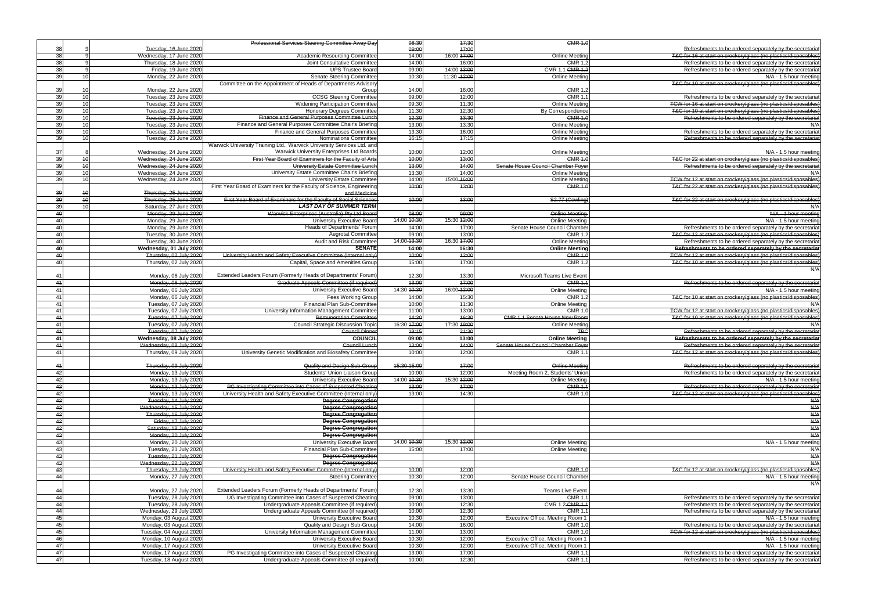| Refreshments to be ordered separately by the secretariat                                                             |
|----------------------------------------------------------------------------------------------------------------------|
| T&C for 16 at start on crockery/glass (no plastics/disposables)                                                      |
| Refreshments to be ordered separately by the secretariat                                                             |
| Refreshments to be ordered separately by the secretariat                                                             |
| N/A - 1.5 hour meeting                                                                                               |
| T&C for 10 at start on crockery/glass (no plastics/disposables)                                                      |
| Refreshments to be ordered separately by the secretariat                                                             |
| TCW for 16 at start on crockery/glass (no plastics/disposables)                                                      |
|                                                                                                                      |
| T&C for 10 at start on crockery/glass (no plastics/disposables)                                                      |
| Refreshments to be ordered separately by the secretariat                                                             |
| N/A                                                                                                                  |
| Refreshments to be ordered separately by the secretariat                                                             |
| Refreshments to be ordered separately by the secretariat                                                             |
| $N/A - 1.5$ hour meeting                                                                                             |
| T&C for 22 at start on crockery/glass (no plastics/disposables)                                                      |
| Refreshments to be ordered separately by the secretariat                                                             |
|                                                                                                                      |
| N/A                                                                                                                  |
| TCW for 12 at start on crockery/glass (no plastics/disposables)                                                      |
| T&C for 22 at start on crockery/glass (no plastics/disposables)                                                      |
|                                                                                                                      |
| T&C for 22 at start on crockery/glass (no plastics/disposables)                                                      |
| N/A                                                                                                                  |
| N/A - 1 hour meeting                                                                                                 |
| N/A - 1.5 hour meeting                                                                                               |
| Refreshments to be ordered separately by the secretariat                                                             |
| T&C for 12 at start on crockery/glass (no plastics/disposables)                                                      |
| Refreshments to be ordered separately by the secretariat                                                             |
| Refreshments to be ordered separately by the secretariat                                                             |
| TCW for 12 at start on crockery/glass (no plastics/disposables)                                                      |
| T&C for 10 at start on crockery/glass (no plastics/disposables)                                                      |
| N/A                                                                                                                  |
|                                                                                                                      |
|                                                                                                                      |
| Refreshments to be ordered separately by the secretariat                                                             |
| N/A - 1.5 hour meeting                                                                                               |
| T&C for 10 at start on crockery/glass (no plastics/disposables)                                                      |
| N/A                                                                                                                  |
| TCW for 12 at start on crockery/glass (no plastics/disposables)                                                      |
|                                                                                                                      |
| T&C for 10 at start on crockery/glass (no plastics/disposables)                                                      |
| N/A                                                                                                                  |
|                                                                                                                      |
| Refreshments to be ordered separately by the secretariat                                                             |
| Refreshments to be ordered separately by the secretariat                                                             |
| Refreshments to be ordered separately by the secretariat                                                             |
| T&C for 12 at start on crockery/glass (no plastics/disposables)                                                      |
|                                                                                                                      |
| Refreshments to be ordered separately by the secretariat                                                             |
| Refreshments to be ordered separately by the secretariat                                                             |
| N/A - 1.5 hour meeting                                                                                               |
| Refreshments to be ordered separately by the secretariat                                                             |
| T&C for 12 at start on crockery/glass (no plastics/disposables)                                                      |
| A/A                                                                                                                  |
| N/A                                                                                                                  |
| N/A                                                                                                                  |
| A/A                                                                                                                  |
| N/A                                                                                                                  |
| N/A                                                                                                                  |
|                                                                                                                      |
| N/A - 1.5 hour meeting                                                                                               |
| N/A                                                                                                                  |
| A/A                                                                                                                  |
| N/A                                                                                                                  |
| T&C for 12 at start on crockery/glass (no plastics/disposables)                                                      |
| N/A - 1.5 hour meeting                                                                                               |
| N/A                                                                                                                  |
|                                                                                                                      |
| Refreshments to be ordered separately by the secretariat                                                             |
| Refreshments to be ordered separately by the secretariat                                                             |
| Refreshments to be ordered separately by the secretariat                                                             |
| N/A - 1.5 hour meeting                                                                                               |
| Refreshments to be ordered separately by the secretariat                                                             |
| TCW for 12 at start on crockery/glass (no plastics/disposables)                                                      |
| N/A - 1.5 hour meeting                                                                                               |
| N/A - 1.5 hour meeting                                                                                               |
|                                                                                                                      |
| Refreshments to be ordered separately by the secretariat<br>Refreshments to be ordered separately by the secretariat |

|                 |                 |                         | <b>Professional Services Steering Committee Away Day</b>               | 08:30       | 47:30         | <b>CMR 1.0</b>                       |                                                                 |
|-----------------|-----------------|-------------------------|------------------------------------------------------------------------|-------------|---------------|--------------------------------------|-----------------------------------------------------------------|
| 38              |                 | Tuesday, 16 June 2020   |                                                                        | 09:00       | 47:00         |                                      | Refreshments to be ordered separately by the secretariat        |
| 38              |                 | Wednesday, 17 June 2020 | <b>Academic Resourcing Committee</b>                                   | 14:00       | 16:00 17:00   | <b>Online Meeting</b>                | T&C for 16 at start on crockery/glass (no plastics/disposables) |
| 38              |                 | Thursday, 18 June 2020  | Joint Consultative Committee                                           | 14:00       | 16:00         | <b>CMR 1.2</b>                       | Refreshments to be ordered separately by the secretariat        |
| 38              |                 | Friday, 19 June 2020    | <b>UPS Trustee Board</b>                                               | 09:00       | 14:00 13:00   | CMR 1.1 CMR 1.2                      | Refreshments to be ordered separately by the secretariat        |
| 39              | 10              | Monday, 22 June 2020    | Senate Steering Committee                                              | 10:30       | 11:30 - 12:00 | <b>Online Meeting</b>                | N/A - 1.5 hour meeting                                          |
|                 |                 |                         | Committee on the Appointment of Heads of Departments Advisory          |             |               |                                      | T&C for 10 at start on crockery/glass (no plastics/disposables) |
| 39              | 1 <sup>1</sup>  | Monday, 22 June 2020    | Group                                                                  | 14:00       | 16:00         | CMR 1.2                              |                                                                 |
| 39              | 10              | Tuesday, 23 June 2020   | <b>CCSG Steering Committee</b>                                         | 09:00       | 12:00         | <b>CMR 1.</b>                        | Refreshments to be ordered separately by the secretariat        |
| 39              | 10              | Tuesday, 23 June 2020   | <b>Widening Participation Committee</b>                                | 09:30       | 11:30         | <b>Online Meeting</b>                | TCW for 16 at start on crockery/glass (no plastics/disposables) |
| 39              | 10              | Tuesday, 23 June 2020   | <b>Honorary Degrees Committee</b>                                      | 11:30       | 12:30         | By Correspondence                    | T&C for 10 at start on crockery/glass (no plastics/disposables) |
| 39              | 10              | Tuesday, 23 June 2020   | Finance and General Purposes Committee Lunch                           | 12:30       | 43:30         | <b>CMR 1.0</b>                       | Refreshments to be ordered separately by the secretariat        |
| 39              | 10              | Tuesday, 23 June 2020   | Finance and General Purposes Committee Chair's Briefing                | 13:00       | 13:30         | Online Meeting                       | N/A                                                             |
| 39              | 10              | Tuesday, 23 June 2020   | Finance and General Purposes Committee                                 | 13:30       | 16:00         | <b>Online Meeting</b>                | Refreshments to be ordered separately by the secretariat        |
| 39              | 10              | Tuesday, 23 June 2020   | Nominations Committee                                                  | 16:15       | 17:15         | <b>Online Meeting</b>                | Refreshments to be ordered separately by the secretariat        |
|                 |                 |                         | Warwick University Training Ltd., Warwick University Services Ltd. and |             |               |                                      |                                                                 |
| 37              |                 | Wednesday, 24 June 2020 | Warwick University Enterprises Ltd Boards                              | 10:00       | 12:00         | <b>Online Meeting</b>                | N/A - 1.5 hour meeting                                          |
| 39              | 40              | Wednesday, 24 June 2020 | First Year Board of Examiners for the Faculty of Arts                  | 40:00       | 13:00         | <b>CMR 1.0</b>                       | T&C for 22 at start on crockery/glass (no plastics/disposables) |
| $\overline{39}$ | 40              | Wednesday, 24 June 2020 | University Estate Committee Lunch                                      | 13:00       | 44:00         | Senate House Council Chamber Foyer   | Refreshments to be ordered separately by the secretariat        |
| 39              | 10              | Wednesday, 24 June 2020 | University Estate Committee Chair's Briefing                           | 13:30       | 14:00         | <b>Online Meeting</b>                | N/A                                                             |
| 39              | 10              | Wednesday, 24 June 2020 | <b>University Estate Committee</b>                                     | 14:00       | 15:00-16:00   | <b>Online Meeting</b>                | TCW for 12 at start on crockery/glass (no plastics/disposables) |
|                 |                 |                         | First Year Board of Examiners for the Faculty of Science, Engineering  | 10:00       | 13:00         | <b>CMR 1.0</b>                       | T&C for 22 at start on crockery/glass (no plastics/disposables) |
| 39              | $\overline{16}$ | Thursday, 25 June 2020  | and Medicine                                                           |             |               |                                      |                                                                 |
| $\overline{39}$ | 40              | Thursday, 25 June 2020  | First Year Board of Examiners for the Faculty of Social Sciences       | 40:00       | 13:00         | S2.77 (Cowling)                      | T&C for 22 at start on crockery/glass (no plastics/disposables) |
| 39              | 1 <sup>1</sup>  | Saturday, 27 June 2020  | <b>LAST DAY OF SUMMER TERM</b>                                         |             |               |                                      | N/A                                                             |
| 40              |                 | Monday, 29 June 2020    | Warwick Enterprises (Australia) Pty Ltd Board                          | 08:00       | 09:00         | Online Meeting                       | N/A - 1 hour meeting                                            |
| 40              |                 | Monday, 29 June 2020    | University Executive Board                                             | 14:00 10:30 | 15:30 12:00   | <b>Online Meeting</b>                | N/A - 1.5 hour meeting                                          |
| 40              |                 | Monday, 29 June 2020    | Heads of Departments' Forum                                            | 14:00       | 17:00         | Senate House Council Chamber         | Refreshments to be ordered separately by the secretariat        |
| 40              |                 | Tuesday, 30 June 2020   | <b>Aegrotat Committee</b>                                              | 09:00       | 13:00         | <b>CMR 1.2</b>                       | T&C for 12 at start on crockery/glass (no plastics/disposables) |
| 40              |                 | Tuesday, 30 June 2020   | Audit and Risk Committee                                               | 14:00-13:30 | 16:30 17:00   | <b>Online Meeting</b>                | Refreshments to be ordered separately by the secretariat        |
| 40              |                 | Wednesday, 01 July 2020 | <b>SENATE</b>                                                          | 14:00       | 16:30         | <b>Online Meeting</b>                | Refreshments to be ordered separately by the secretariat        |
| 40              |                 | Thursday, 02 July 2020  | University Health and Safety Executive Committee (Internal only)       | 10:00       | 42:00         | <b>CMR 1.0</b>                       | TCW for 12 at start on crockery/glass (no plastics/disposables) |
| 40              |                 | Thursday, 02 July 2020  | Capital, Space and Amenities Group                                     | 15:00       | 17:00         | <b>CMR 1.2</b>                       | T&C for 10 at start on crockery/glass (no plastics/disposables) |
|                 |                 |                         |                                                                        |             |               |                                      | N/A                                                             |
| 41              |                 | Monday, 06 July 2020    | Extended Leaders Forum (Formerly Heads of Departments' Forum)          | 12:30       | 13:30         | Microsoft Teams Live Event           |                                                                 |
| 41              |                 |                         | Graduate Appeals Committee (if required)                               | 13:00       | 17:00         | <b>CMR 1.1</b>                       | Refreshments to be ordered separately by the secretariat        |
|                 |                 | Monday, 06 July 2020    |                                                                        |             |               |                                      |                                                                 |
| 41              |                 | Monday, 06 July 2020    | University Executive Board                                             | 14:30 10:30 | 16:00-12:00   | <b>Online Meeting</b>                | N/A - 1.5 hour meeting                                          |
| 41              |                 | Monday, 06 July 2020    | Fees Working Group                                                     | 14:00       | 15:30         | <b>CMR 1.2</b>                       | T&C for 10 at start on crockery/glass (no plastics/disposables) |
| 41              |                 | Tuesday, 07 July 2020   | Financial Plan Sub-Committee                                           | 10:00       | 11:30         | <b>Online Meeting</b>                | N/A                                                             |
| 41              |                 | Tuesday, 07 July 2020   | University Information Management Committee                            | 11:00       | 13:00         | <b>CMR 1.0</b>                       | TCW for 12 at start on crockery/glass (no plastics/disposables) |
| 44              |                 | Tuesday, 07 July 2020   | <b>Remuneration Committee</b>                                          | 14:30       | 16:30         | <b>CMR 1.1 Senate House New Room</b> | T&C for 10 at start on crockery/glass (no plastics/disposables) |
| 41              |                 | Tuesday, 07 July 2020   | <b>Council Strategic Discussion Topic</b>                              | 16:30 17:00 | 17:30 19:00   | <b>Online Meeting</b>                | N/A                                                             |
| 44              |                 | Tuesday, 07 July 2020   | <b>Council Dinner</b>                                                  | 19:15       | 21:30         | <b>TBC</b>                           | Refreshments to be ordered separately by the secretariat        |
| 41              |                 | Wednesday, 08 July 2020 | <b>COUNCIL</b>                                                         | 09:00       | 13:00         | <b>Online Meeting</b>                | Refreshments to be ordered separately by the secretariat        |
| 44              |                 | Wednesday, 08 July 2020 | <b>Council Lunch</b>                                                   | 13:00       | 44:00         | Senate House Council Chamber Foyer   | Refreshments to be ordered separately by the secretariat        |
| 41              |                 | Thursday, 09 July 2020  | University Genetic Modification and Biosafety Committee                | 10:00       | 12:00         | <b>CMR 1.1</b>                       | T&C for 12 at start on crockery/glass (no plastics/disposables) |
|                 |                 |                         |                                                                        |             |               |                                      |                                                                 |
| 41              |                 | Thursday, 09 July 2020  | Quality and Design Sub-Group                                           | 15:30 15:00 | 47:00         | <b>Online Meeting</b>                | Refreshments to be ordered separately by the secretariat        |
| 42              |                 | Monday, 13 July 2020    | Students' Union Liaison Group                                          | 10:00       | 12:00         | Meeting Room 2, Students' Union      | Refreshments to be ordered separately by the secretariat        |
| 42              |                 | Monday, 13 July 2020    | University Executive Board                                             | 14:00 10:30 | 15:30 42:00   | <b>Online Meeting</b>                | N/A - 1.5 hour meeting                                          |
| 42              |                 | Monday, 13 July 2020    | PG Investigating Committee into Cases of Suspected Cheating            | 13:00       | 47:00         | <b>CMR 1.1</b>                       | Refreshments to be ordered separately by the secretariat        |
| 42              |                 | Monday, 13 July 2020    | University Health and Safety Executive Committee (Internal only)       | 13:00       | 14:30         | <b>CMR 1.0</b>                       | T&C for 12 at start on crockery/glass (no plastics/disposables) |
| 42              |                 | Tuesday, 14 July 2020   | <b>Degree Congregation</b>                                             |             |               |                                      | n/a                                                             |
| 42              |                 | Wednesday, 15 July 2020 | <b>Degree Congregation</b>                                             |             |               |                                      | n/a                                                             |
| 42              |                 | Thursday, 16 July 2020  | <b>Degree Congregation</b>                                             |             |               |                                      | N/A                                                             |
| 42              |                 | Friday, 17 July 2020    | <b>Degree Congregation</b>                                             |             |               |                                      | n/a                                                             |
| 42              |                 | Saturday, 18 July 2020  | <b>Degree Congregation</b>                                             |             |               |                                      | N/A                                                             |
| 43              |                 | Monday, 20 July 2020    | <b>Degree Congregation</b>                                             |             |               |                                      | N/A                                                             |
| 43              |                 | Monday, 20 July 2020    | University Executive Board                                             | 14:00 10:30 | 15:30 12:00   | <b>Online Meeting</b>                |                                                                 |
|                 |                 |                         |                                                                        |             |               |                                      | N/A - 1.5 hour meeting                                          |
| 43              |                 | Tuesday, 21 July 2020   | Financial Plan Sub-Committee                                           | 15:00       | 17:00         | <b>Online Meeting</b>                | N/A                                                             |
| 43              |                 | Tuesday, 21 July 2020   | <b>Degree Congregation</b>                                             |             |               |                                      | N/A                                                             |
| 43              |                 | Wednesday, 22 July 2020 | <b>Degree Congregation</b>                                             |             |               |                                      | N/A                                                             |
| 43              |                 | Thursday, 23 July 2020  | University Health and Safety Executive Committee (Internal only)       | 40:00       | 42:00         | <b>CMR 1.0</b>                       | T&C for 12 at start on crockery/glass (no plastics/disposables) |
| 44              |                 | Monday, 27 July 2020    | <b>Steering Committee</b>                                              | 10:30       | 12:00         | Senate House Council Chamber         | N/A - 1.5 hour meeting                                          |
|                 |                 |                         |                                                                        |             |               |                                      | N/A                                                             |
| 44              |                 | Monday, 27 July 2020    | Extended Leaders Forum (Formerly Heads of Departments' Forum)          | 12:30       | 13:30         | <b>Teams Live Event</b>              |                                                                 |
| 44              |                 | Tuesday, 28 July 2020   | UG Investigating Committee into Cases of Suspected Cheating            | 09:00       | 13:00         | <b>CMR 1.1</b>                       | Refreshments to be ordered separately by the secretariat        |
| 44              |                 | Tuesday, 28 July 2020   | Undergraduate Appeals Committee (if required)                          | 10:00       | 12:30         | CMR 1.2-CMR 1.1                      | Refreshments to be ordered separately by the secretariat        |
| 44              |                 | Wednesday, 29 July 2020 | Undergraduate Appeals Committee (if required)                          | 10:00       | 12:30         | <b>CMR 1.1</b>                       | Refreshments to be ordered separately by the secretariat        |
| 45              |                 | Monday, 03 August 2020  | University Executive Board                                             | 10:30       | 12:00         | Executive Office, Meeting Room 1     | N/A - 1.5 hour meeting                                          |
| 45              |                 | Monday, 03 August 2020  | Quality and Design Sub-Group                                           | 14:00       | 16:00         | <b>CMR 1.0</b>                       | Refreshments to be ordered separately by the secretariat        |
| 45              |                 | Tuesday, 04 August 2020 | University Information Management Committee                            | 11:00       | 13:00         | <b>CMR 1.0</b>                       | TCW for 12 at start on crockery/glass (no plastics/disposables) |
| 46              |                 | Monday, 10 August 2020  | University Executive Board                                             | 10:30       | 12:00         | Executive Office, Meeting Room 1     | $N/A - 1.5$ hour meeting                                        |
| 47              |                 | Monday, 17 August 2020  | University Executive Board                                             | 10:30       | 12:00         | Executive Office, Meeting Room 1     | N/A - 1.5 hour meeting                                          |
| 47              |                 | Monday, 17 August 2020  | PG Investigating Committee into Cases of Suspected Cheating            | 13:00       | 17:00         | <b>CMR 1.1</b>                       | Refreshments to be ordered separately by the secretariat        |
| 47              |                 |                         | Undergraduate Appeals Committee (if required)                          |             | 12:30         | <b>CMR 1.1</b>                       | Refreshments to be ordered separately by the secretariat        |
|                 |                 | Tuesday, 18 August 2020 |                                                                        | 10:00       |               |                                      |                                                                 |